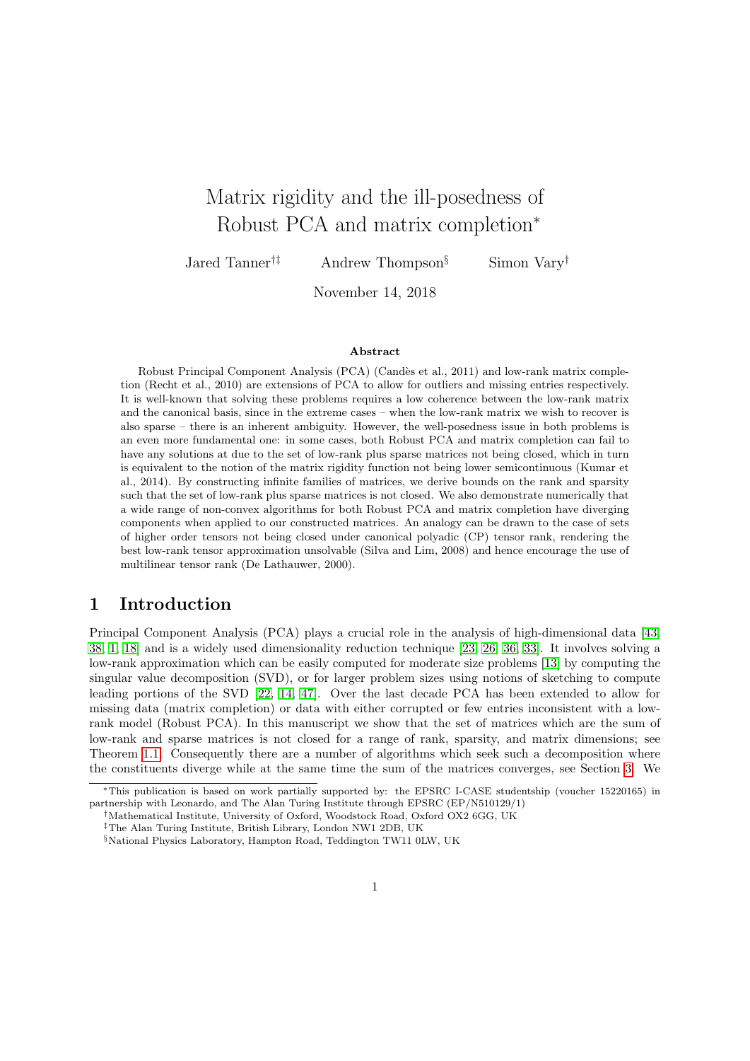# Matrix rigidity and the ill-posedness of Robust PCA and matrix completion<sup>∗</sup>

Jared Tanner†‡ Andrew Thompson§ Simon Vary†

November 14, 2018

#### Abstract

Robust Principal Component Analysis (PCA) (Candès et al., 2011) and low-rank matrix completion (Recht et al., 2010) are extensions of PCA to allow for outliers and missing entries respectively. It is well-known that solving these problems requires a low coherence between the low-rank matrix and the canonical basis, since in the extreme cases – when the low-rank matrix we wish to recover is also sparse – there is an inherent ambiguity. However, the well-posedness issue in both problems is an even more fundamental one: in some cases, both Robust PCA and matrix completion can fail to have any solutions at due to the set of low-rank plus sparse matrices not being closed, which in turn is equivalent to the notion of the matrix rigidity function not being lower semicontinuous (Kumar et al., 2014). By constructing infinite families of matrices, we derive bounds on the rank and sparsity such that the set of low-rank plus sparse matrices is not closed. We also demonstrate numerically that a wide range of non-convex algorithms for both Robust PCA and matrix completion have diverging components when applied to our constructed matrices. An analogy can be drawn to the case of sets of higher order tensors not being closed under canonical polyadic (CP) tensor rank, rendering the best low-rank tensor approximation unsolvable (Silva and Lim, 2008) and hence encourage the use of multilinear tensor rank (De Lathauwer, 2000).

### 1 Introduction

Principal Component Analysis (PCA) plays a crucial role in the analysis of high-dimensional data [\[43,](#page-16-0) [38,](#page-16-1) [1,](#page-13-0) [18\]](#page-15-0) and is a widely used dimensionality reduction technique [\[23,](#page-15-1) [26,](#page-15-2) [36,](#page-16-2) [33\]](#page-16-3). It involves solving a low-rank approximation which can be easily computed for moderate size problems [\[13\]](#page-14-0) by computing the singular value decomposition (SVD), or for larger problem sizes using notions of sketching to compute leading portions of the SVD [\[22,](#page-15-3) [14,](#page-14-1) [47\]](#page-16-4). Over the last decade PCA has been extended to allow for missing data (matrix completion) or data with either corrupted or few entries inconsistent with a lowrank model (Robust PCA). In this manuscript we show that the set of matrices which are the sum of low-rank and sparse matrices is not closed for a range of rank, sparsity, and matrix dimensions; see Theorem [1.1.](#page-2-0) Consequently there are a number of algorithms which seek such a decomposition where the constituents diverge while at the same time the sum of the matrices converges, see Section [3.](#page-10-0) We

<sup>∗</sup>This publication is based on work partially supported by: the EPSRC I-CASE studentship (voucher 15220165) in partnership with Leonardo, and The Alan Turing Institute through EPSRC (EP/N510129/1)

<sup>†</sup>Mathematical Institute, University of Oxford, Woodstock Road, Oxford OX2 6GG, UK

<sup>‡</sup>The Alan Turing Institute, British Library, London NW1 2DB, UK

<sup>§</sup>National Physics Laboratory, Hampton Road, Teddington TW11 0LW, UK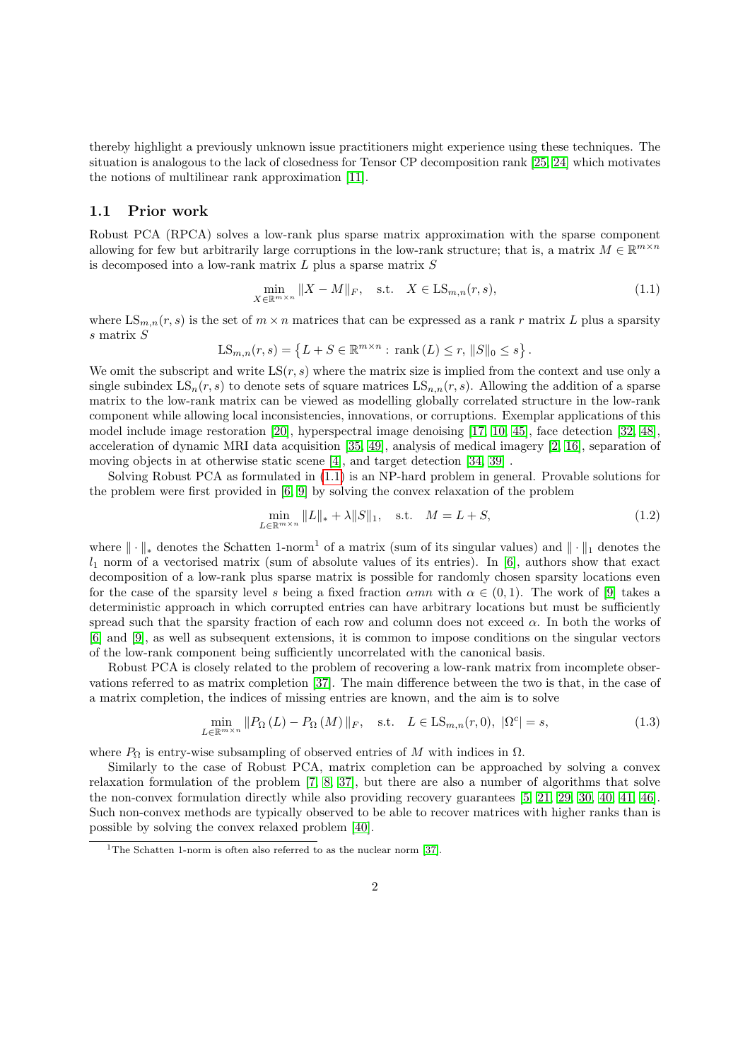thereby highlight a previously unknown issue practitioners might experience using these techniques. The situation is analogous to the lack of closedness for Tensor CP decomposition rank [\[25,](#page-15-4) [24\]](#page-15-5) which motivates the notions of multilinear rank approximation [\[11\]](#page-14-2).

#### 1.1 Prior work

Robust PCA (RPCA) solves a low-rank plus sparse matrix approximation with the sparse component allowing for few but arbitrarily large corruptions in the low-rank structure; that is, a matrix  $M \in \mathbb{R}^{m \times n}$ is decomposed into a low-rank matrix  $L$  plus a sparse matrix  $S$ 

<span id="page-1-0"></span>
$$
\min_{X \in \mathbb{R}^{m \times n}} \|X - M\|_F, \quad \text{s.t.} \quad X \in \text{LS}_{m,n}(r,s),\tag{1.1}
$$

where  $LS_{m,n}(r, s)$  is the set of  $m \times n$  matrices that can be expressed as a rank r matrix L plus a sparsity s matrix S

$$
LS_{m,n}(r,s) = \{ L + S \in \mathbb{R}^{m \times n} : \text{rank}(L) \le r, ||S||_0 \le s \}.
$$

We omit the subscript and write  $LS(r, s)$  where the matrix size is implied from the context and use only a single subindex  $LS_n(r, s)$  to denote sets of square matrices  $LS_{n,n}(r, s)$ . Allowing the addition of a sparse matrix to the low-rank matrix can be viewed as modelling globally correlated structure in the low-rank component while allowing local inconsistencies, innovations, or corruptions. Exemplar applications of this model include image restoration [\[20\]](#page-15-6), hyperspectral image denoising [\[17,](#page-14-3) [10,](#page-14-4) [45\]](#page-16-5), face detection [\[32,](#page-15-7) [48\]](#page-17-0), acceleration of dynamic MRI data acquisition [\[35,](#page-16-6) [49\]](#page-17-1), analysis of medical imagery [\[2,](#page-13-1) [16\]](#page-14-5), separation of moving objects in at otherwise static scene [\[4\]](#page-14-6), and target detection [\[34,](#page-16-7) [39\]](#page-16-8) .

Solving Robust PCA as formulated in [\(1.1\)](#page-1-0) is an NP-hard problem in general. Provable solutions for the problem were first provided in [\[6,](#page-14-7) [9\]](#page-14-8) by solving the convex relaxation of the problem

<span id="page-1-2"></span><span id="page-1-1"></span>
$$
\min_{L \in \mathbb{R}^{m \times n}} \|L\|_{*} + \lambda \|S\|_{1}, \quad \text{s.t.} \quad M = L + S,
$$
\n(1.2)

where  $\|\cdot\|_*$  denotes the Schatten 1-norm<sup>1</sup> of a matrix (sum of its singular values) and  $\|\cdot\|_1$  denotes the  $l_1$  norm of a vectorised matrix (sum of absolute values of its entries). In [\[6\]](#page-14-7), authors show that exact decomposition of a low-rank plus sparse matrix is possible for randomly chosen sparsity locations even for the case of the sparsity level s being a fixed fraction  $\alpha mn$  with  $\alpha \in (0,1)$ . The work of [\[9\]](#page-14-8) takes a deterministic approach in which corrupted entries can have arbitrary locations but must be sufficiently spread such that the sparsity fraction of each row and column does not exceed  $\alpha$ . In both the works of [\[6\]](#page-14-7) and [\[9\]](#page-14-8), as well as subsequent extensions, it is common to impose conditions on the singular vectors of the low-rank component being sufficiently uncorrelated with the canonical basis.

Robust PCA is closely related to the problem of recovering a low-rank matrix from incomplete observations referred to as matrix completion [\[37\]](#page-16-9). The main difference between the two is that, in the case of a matrix completion, the indices of missing entries are known, and the aim is to solve

$$
\min_{L \in \mathbb{R}^{m \times n}} \| P_{\Omega} \left( L \right) - P_{\Omega} \left( M \right) \|_{F}, \quad \text{s.t.} \quad L \in \text{LS}_{m,n}(r,0), \ |\Omega^{c}| = s,
$$
\n
$$
(1.3)
$$

where  $P_{\Omega}$  is entry-wise subsampling of observed entries of M with indices in  $\Omega$ .

Similarly to the case of Robust PCA, matrix completion can be approached by solving a convex relaxation formulation of the problem [\[7,](#page-14-9) [8,](#page-14-10) [37\]](#page-16-9), but there are also a number of algorithms that solve the non-convex formulation directly while also providing recovery guarantees [\[5,](#page-14-11) [21,](#page-15-8) [29,](#page-15-9) [30,](#page-15-10) [40,](#page-16-10) [41,](#page-16-11) [46\]](#page-16-12). Such non-convex methods are typically observed to be able to recover matrices with higher ranks than is possible by solving the convex relaxed problem [\[40\]](#page-16-10).

<sup>&</sup>lt;sup>1</sup>The Schatten 1-norm is often also referred to as the nuclear norm [\[37\]](#page-16-9).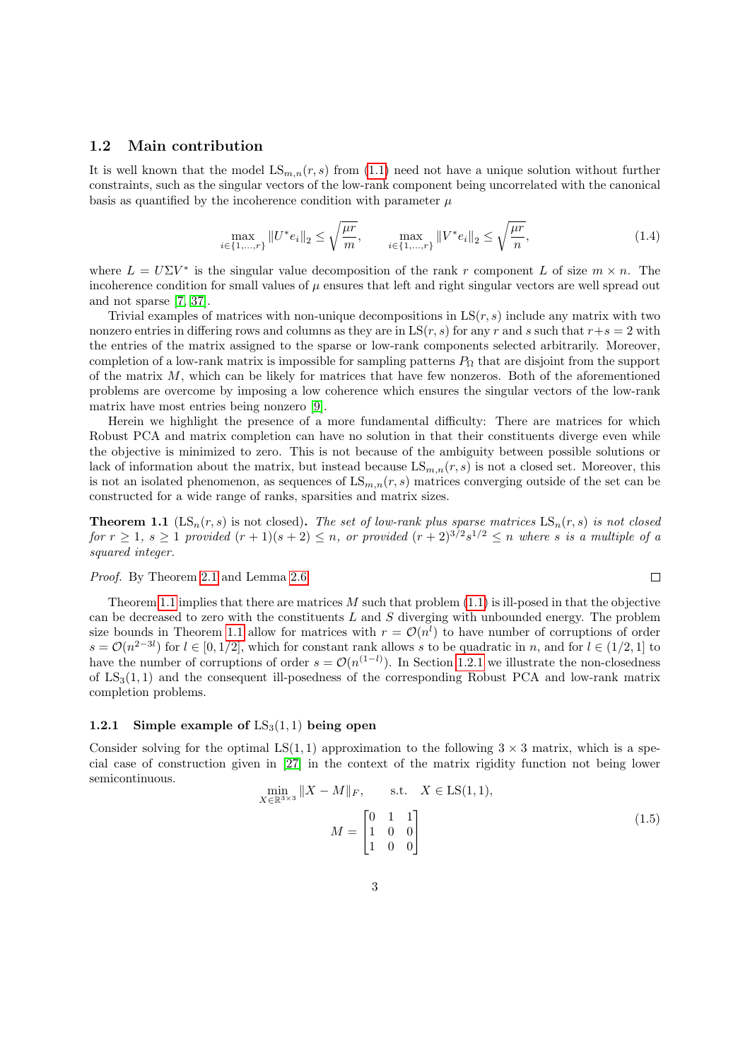### 1.2 Main contribution

It is well known that the model  $LS_{m,n}(r, s)$  from [\(1.1\)](#page-1-0) need not have a unique solution without further constraints, such as the singular vectors of the low-rank component being uncorrelated with the canonical basis as quantified by the incoherence condition with parameter  $\mu$ 

$$
\max_{i \in \{1, \dots, r\}} \|U^* e_i\|_2 \le \sqrt{\frac{\mu r}{m}}, \qquad \max_{i \in \{1, \dots, r\}} \|V^* e_i\|_2 \le \sqrt{\frac{\mu r}{n}}, \tag{1.4}
$$

where  $L = U\Sigma V^*$  is the singular value decomposition of the rank r component L of size  $m \times n$ . The incoherence condition for small values of  $\mu$  ensures that left and right singular vectors are well spread out and not sparse [\[7,](#page-14-9) [37\]](#page-16-9).

Trivial examples of matrices with non-unique decompositions in  $LS(r, s)$  include any matrix with two nonzero entries in differing rows and columns as they are in  $LS(r, s)$  for any r and s such that  $r+s = 2$  with the entries of the matrix assigned to the sparse or low-rank components selected arbitrarily. Moreover, completion of a low-rank matrix is impossible for sampling patterns  $P_{\Omega}$  that are disjoint from the support of the matrix  $M$ , which can be likely for matrices that have few nonzeros. Both of the aforementioned problems are overcome by imposing a low coherence which ensures the singular vectors of the low-rank matrix have most entries being nonzero [\[9\]](#page-14-8).

Herein we highlight the presence of a more fundamental difficulty: There are matrices for which Robust PCA and matrix completion can have no solution in that their constituents diverge even while the objective is minimized to zero. This is not because of the ambiguity between possible solutions or lack of information about the matrix, but instead because  $LS_{m,n}(r, s)$  is not a closed set. Moreover, this is not an isolated phenomenon, as sequences of  $LS_{m,n}(r, s)$  matrices converging outside of the set can be constructed for a wide range of ranks, sparsities and matrix sizes.

<span id="page-2-0"></span>**Theorem 1.1** (LS<sub>n</sub>(r, s) is not closed). The set of low-rank plus sparse matrices  $LS_n(r, s)$  is not closed for  $r \geq 1$ ,  $s \geq 1$  provided  $(r + 1)(s + 2) \leq n$ , or provided  $(r + 2)^{3/2} s^{1/2} \leq n$  where s is a multiple of a squared integer.

Proof. By Theorem [2.1](#page-7-0) and Lemma [2.6.](#page-9-0)

Theorem [1.1](#page-2-0) implies that there are matrices  $M$  such that problem [\(1.1\)](#page-1-0) is ill-posed in that the objective can be decreased to zero with the constituents  $L$  and  $S$  diverging with unbounded energy. The problem size bounds in Theorem [1.1](#page-2-0) allow for matrices with  $r = \mathcal{O}(n^l)$  to have number of corruptions of order  $s = \mathcal{O}(n^{2-3l})$  for  $l \in [0, 1/2]$ , which for constant rank allows s to be quadratic in n, and for  $l \in (1/2, 1]$  to have the number of corruptions of order  $s = \mathcal{O}(n^{(1-l)})$ . In Section [1.2.1](#page-2-1) we illustrate the non-closedness of  $LS_3(1, 1)$  and the consequent ill-posedness of the corresponding Robust PCA and low-rank matrix completion problems.

### <span id="page-2-1"></span>1.2.1 Simple example of  $LS_3(1,1)$  being open

Consider solving for the optimal LS(1, 1) approximation to the following  $3 \times 3$  matrix, which is a special case of construction given in [\[27\]](#page-15-11) in the context of the matrix rigidity function not being lower semicontinuous.

<span id="page-2-2"></span>
$$
\min_{X \in \mathbb{R}^{3 \times 3}} \|X - M\|_{F}, \quad \text{s.t.} \quad X \in \text{LS}(1, 1),
$$
\n
$$
M = \begin{bmatrix} 0 & 1 & 1 \\ 1 & 0 & 0 \\ 1 & 0 & 0 \end{bmatrix}
$$
\n(1.5)

 $\Box$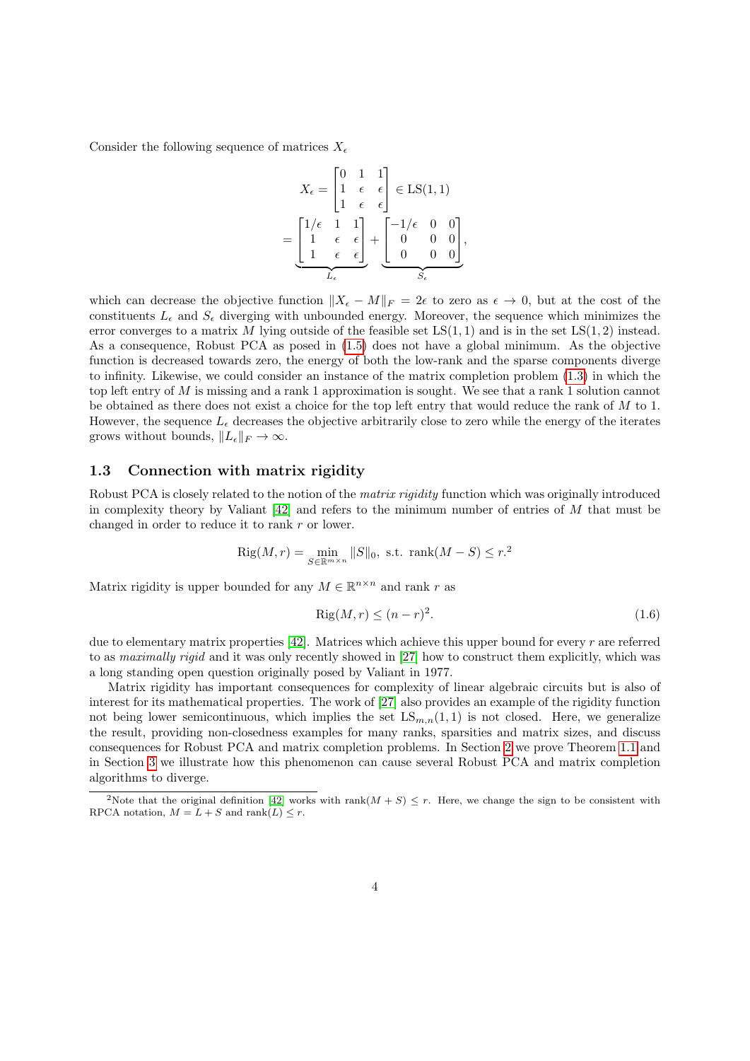Consider the following sequence of matrices  $X_{\epsilon}$ 

$$
X_{\epsilon} = \begin{bmatrix} 0 & 1 & 1 \\ 1 & \epsilon & \epsilon \\ 1 & \epsilon & \epsilon \end{bmatrix} \in \operatorname{LS}(1,1)
$$

$$
= \underbrace{\begin{bmatrix} 1/\epsilon & 1 & 1 \\ 1 & \epsilon & \epsilon \\ 1 & \epsilon & \epsilon \end{bmatrix}}_{L_{\epsilon}} + \underbrace{\begin{bmatrix} -1/\epsilon & 0 & 0 \\ 0 & 0 & 0 \\ 0 & 0 & 0 \end{bmatrix}}_{S_{\epsilon}},
$$

which can decrease the objective function  $||X_{\epsilon}-M||_{F} = 2\epsilon$  to zero as  $\epsilon \to 0$ , but at the cost of the constituents  $L_{\epsilon}$  and  $S_{\epsilon}$  diverging with unbounded energy. Moreover, the sequence which minimizes the error converges to a matrix M lying outside of the feasible set  $LS(1, 1)$  and is in the set  $LS(1, 2)$  instead. As a consequence, Robust PCA as posed in [\(1.5\)](#page-2-2) does not have a global minimum. As the objective function is decreased towards zero, the energy of both the low-rank and the sparse components diverge to infinity. Likewise, we could consider an instance of the matrix completion problem [\(1.3\)](#page-1-1) in which the top left entry of  $M$  is missing and a rank 1 approximation is sought. We see that a rank 1 solution cannot be obtained as there does not exist a choice for the top left entry that would reduce the rank of  $M$  to 1. However, the sequence  $L_{\epsilon}$  decreases the objective arbitrarily close to zero while the energy of the iterates grows without bounds,  $||L_{\epsilon}||_F \to \infty$ .

#### 1.3 Connection with matrix rigidity

Robust PCA is closely related to the notion of the *matrix rigidity* function which was originally introduced in complexity theory by Valiant  $[42]$  and refers to the minimum number of entries of M that must be changed in order to reduce it to rank r or lower.

$$
Rig(M,r) = \min_{S \in \mathbb{R}^{m \times n}} ||S||_0, \text{ s.t. } \text{rank}(M - S) \le r^2
$$

Matrix rigidity is upper bounded for any  $M \in \mathbb{R}^{n \times n}$  and rank r as

$$
Rig(M,r) \le (n-r)^2. \tag{1.6}
$$

due to elementary matrix properties  $[42]$ . Matrices which achieve this upper bound for every r are referred to as maximally rigid and it was only recently showed in [\[27\]](#page-15-11) how to construct them explicitly, which was a long standing open question originally posed by Valiant in 1977.

Matrix rigidity has important consequences for complexity of linear algebraic circuits but is also of interest for its mathematical properties. The work of [\[27\]](#page-15-11) also provides an example of the rigidity function not being lower semicontinuous, which implies the set  $LS_{m,n}(1,1)$  is not closed. Here, we generalize the result, providing non-closedness examples for many ranks, sparsities and matrix sizes, and discuss consequences for Robust PCA and matrix completion problems. In Section [2](#page-4-0) we prove Theorem [1.1](#page-2-0) and in Section [3](#page-10-0) we illustrate how this phenomenon can cause several Robust PCA and matrix completion algorithms to diverge.

<sup>&</sup>lt;sup>2</sup>Note that the original definition [\[42\]](#page-16-13) works with rank $(M + S) \leq r$ . Here, we change the sign to be consistent with RPCA notation,  $M = L + S$  and rank $(L) \leq r$ .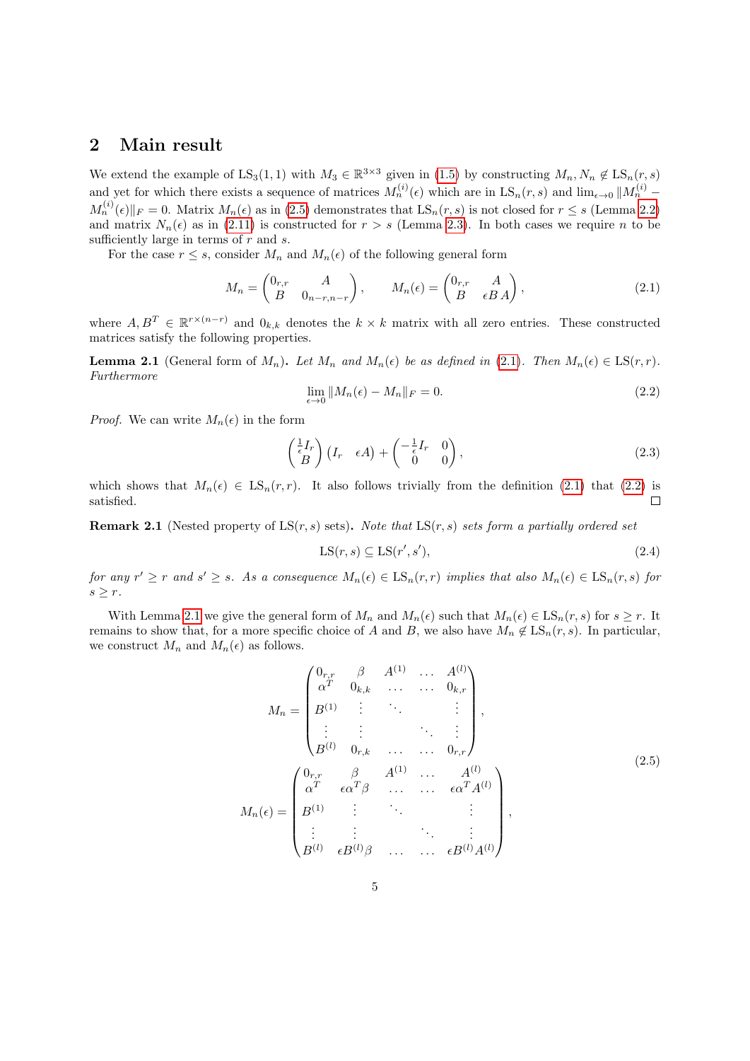### <span id="page-4-0"></span>2 Main result

We extend the example of  $LS_3(1,1)$  with  $M_3 \in \mathbb{R}^{3\times3}$  given in [\(1.5\)](#page-2-2) by constructing  $M_n, N_n \notin LS_n(r, s)$ and yet for which there exists a sequence of matrices  $M_n^{(i)}(\epsilon)$  which are in  $\text{LS}_n(r,s)$  and  $\lim_{\epsilon \to 0} ||M_n^{(i)} M_n^{(i)}(\epsilon)\|_F = 0.$  Matrix  $M_n(\epsilon)$  as in [\(2.5\)](#page-4-1) demonstrates that  $LS_n(r, s)$  is not closed for  $r \leq s$  (Lemma [2.2\)](#page-5-0) and matrix  $N_n(\epsilon)$  as in [\(2.11\)](#page-6-0) is constructed for  $r > s$  (Lemma [2.3\)](#page-6-1). In both cases we require n to be sufficiently large in terms of  $r$  and  $s$ .

For the case  $r \leq s$ , consider  $M_n$  and  $M_n(\epsilon)$  of the following general form

$$
M_n = \begin{pmatrix} 0_{r,r} & A \\ B & 0_{n-r,n-r} \end{pmatrix}, \qquad M_n(\epsilon) = \begin{pmatrix} 0_{r,r} & A \\ B & \epsilon BA \end{pmatrix}, \tag{2.1}
$$

where  $A, B^T \in \mathbb{R}^{r \times (n-r)}$  and  $0_{k,k}$  denotes the  $k \times k$  matrix with all zero entries. These constructed matrices satisfy the following properties.

<span id="page-4-4"></span><span id="page-4-3"></span>**Lemma 2.1** (General form of  $M_n$ ). Let  $M_n$  and  $M_n(\epsilon)$  be as defined in [\(2.1\)](#page-4-2). Then  $M_n(\epsilon) \in \text{LS}(r, r)$ . Furthermore

<span id="page-4-2"></span>
$$
\lim_{\epsilon \to 0} \|M_n(\epsilon) - M_n\|_F = 0. \tag{2.2}
$$

*Proof.* We can write  $M_n(\epsilon)$  in the form

$$
\begin{pmatrix} \frac{1}{\epsilon}I_r \\ B \end{pmatrix} (I_r \epsilon A) + \begin{pmatrix} -\frac{1}{\epsilon}I_r & 0 \\ 0 & 0 \end{pmatrix}, \tag{2.3}
$$

which shows that  $M_n(\epsilon) \in \text{LS}_n(r,r)$ . It also follows trivially from the definition [\(2.1\)](#page-4-2) that [\(2.2\)](#page-4-3) is satisfied.  $\Box$ 

**Remark 2.1** (Nested property of  $LS(r, s)$  sets). Note that  $LS(r, s)$  sets form a partially ordered set

$$
LS(r, s) \subseteq LS(r', s'),\tag{2.4}
$$

for any  $r' \geq r$  and  $s' \geq s$ . As a consequence  $M_n(\epsilon) \in \text{LS}_n(r,r)$  implies that also  $M_n(\epsilon) \in \text{LS}_n(r,s)$  for  $s \geq r$ .

With Lemma [2.1](#page-4-4) we give the general form of  $M_n$  and  $M_n(\epsilon)$  such that  $M_n(\epsilon) \in \text{LS}_n(r, s)$  for  $s \geq r$ . It remains to show that, for a more specific choice of A and B, we also have  $M_n \notin \text{LS}_n(r, s)$ . In particular, we construct  $M_n$  and  $M_n(\epsilon)$  as follows.

<span id="page-4-1"></span>
$$
M_{n} = \begin{pmatrix} 0_{r,r} & \beta & A^{(1)} & \dots & A^{(l)} \\ \alpha^{T} & 0_{k,k} & \dots & \dots & 0_{k,r} \\ B^{(1)} & \vdots & \ddots & & \vdots \\ \vdots & \vdots & & \ddots & \vdots \\ B^{(l)} & 0_{r,k} & \dots & \dots & 0_{r,r} \end{pmatrix},
$$
  
\n
$$
M_{n}(\epsilon) = \begin{pmatrix} 0_{r,r} & \beta & A^{(1)} & \dots & A^{(l)} \\ \alpha^{T} & \epsilon \alpha^{T} \beta & \dots & \dots & \epsilon \alpha^{T} A^{(l)} \\ B^{(1)} & \vdots & \ddots & & \vdots \\ \vdots & \vdots & & \ddots & \vdots \\ B^{(l)} & \epsilon B^{(l)} \beta & \dots & \dots & \epsilon B^{(l)} A^{(l)} \end{pmatrix},
$$
\n(2.5)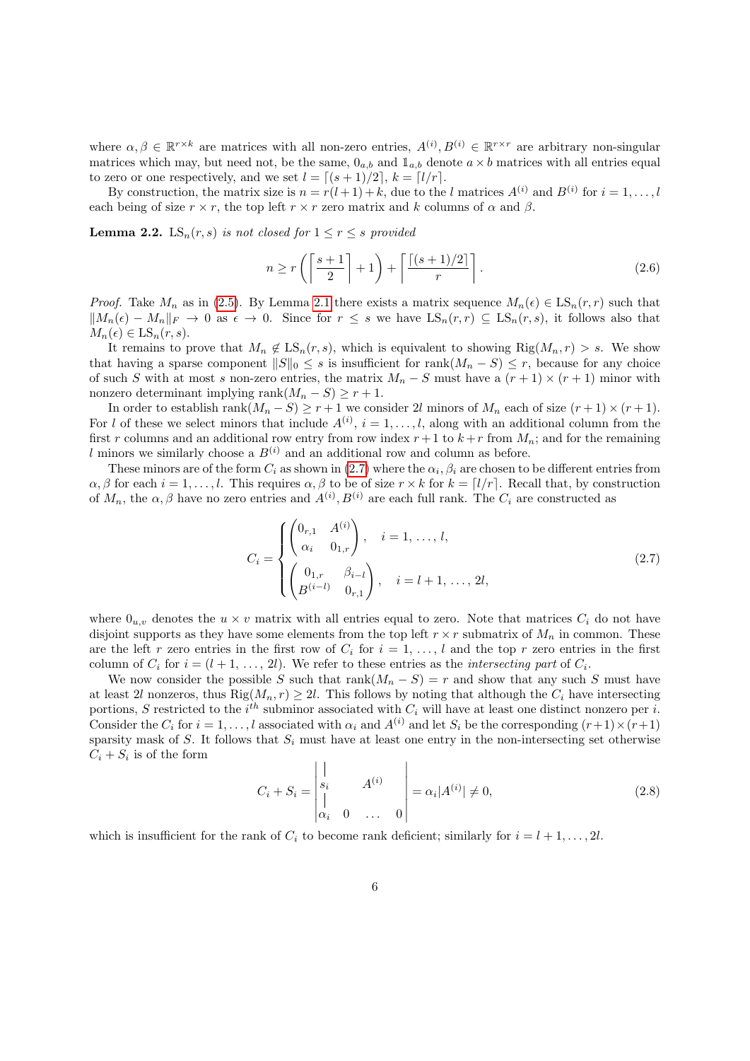where  $\alpha, \beta \in \mathbb{R}^{r \times k}$  are matrices with all non-zero entries,  $A^{(i)}, B^{(i)} \in \mathbb{R}^{r \times r}$  are arbitrary non-singular matrices which may, but need not, be the same,  $0_{a,b}$  and  $1_{a,b}$  denote  $a \times b$  matrices with all entries equal to zero or one respectively, and we set  $l = \lceil (s + 1)/2 \rceil$ ,  $k = \lceil l/r \rceil$ .

By construction, the matrix size is  $n = r(l+1) + k$ , due to the l matrices  $A^{(i)}$  and  $B^{(i)}$  for  $i = 1, ..., l$ each being of size  $r \times r$ , the top left  $r \times r$  zero matrix and k columns of  $\alpha$  and  $\beta$ .

<span id="page-5-0"></span>**Lemma 2.2.** LS<sub>n</sub>(r, s) is not closed for  $1 \leq r \leq s$  provided

<span id="page-5-2"></span>
$$
n \ge r\left(\left\lceil \frac{s+1}{2} \right\rceil + 1\right) + \left\lceil \frac{\lceil (s+1)/2 \rceil}{r} \right\rceil. \tag{2.6}
$$

*Proof.* Take  $M_n$  as in [\(2.5\)](#page-4-1). By Lemma [2.1](#page-4-4) there exists a matrix sequence  $M_n(\epsilon) \in \text{LS}_n(r,r)$  such that  $||M_n(\epsilon) - M_n||_F \to 0$  as  $\epsilon \to 0$ . Since for  $r \leq s$  we have  $LS_n(r,r) \subseteq LS_n(r,s)$ , it follows also that  $M_n(\epsilon) \in \text{LS}_n(r,s).$ 

It remains to prove that  $M_n \notin \text{LS}_n(r, s)$ , which is equivalent to showing  $\text{Rig}(M_n, r) > s$ . We show that having a sparse component  $||S||_0 \leq s$  is insufficient for rank $(M_n - S) \leq r$ , because for any choice of such S with at most s non-zero entries, the matrix  $M_n - S$  must have a  $(r + 1) \times (r + 1)$  minor with nonzero determinant implying rank $(M_n - S) \ge r + 1$ .

In order to establish rank $(M_n - S) \ge r + 1$  we consider 2l minors of  $M_n$  each of size  $(r + 1) \times (r + 1)$ . For l of these we select minors that include  $A^{(i)}$ ,  $i = 1, \ldots, l$ , along with an additional column from the first r columns and an additional row entry from row index  $r+1$  to  $k+r$  from  $M_n$ ; and for the remaining l minors we similarly choose a  $B^{(i)}$  and an additional row and column as before.

These minors are of the form  $C_i$  as shown in [\(2.7\)](#page-5-1) where the  $\alpha_i$ ,  $\beta_i$  are chosen to be different entries from  $\alpha, \beta$  for each  $i = 1, \ldots, l$ . This requires  $\alpha, \beta$  to be of size  $r \times k$  for  $k = \lfloor l/r \rfloor$ . Recall that, by construction of  $M_n$ , the  $\alpha, \beta$  have no zero entries and  $A^{(i)}, B^{(i)}$  are each full rank. The  $C_i$  are constructed as

<span id="page-5-1"></span>
$$
C_{i} = \begin{cases} \begin{pmatrix} 0_{r,1} & A^{(i)} \\ \alpha_{i} & 0_{1,r} \end{pmatrix}, & i = 1, \dots, l, \\ \begin{pmatrix} 0_{1,r} & \beta_{i-l} \\ B^{(i-l)} & 0_{r,1} \end{pmatrix}, & i = l+1, \dots, 2l, \end{cases}
$$
 (2.7)

where  $0_{u,v}$  denotes the  $u \times v$  matrix with all entries equal to zero. Note that matrices  $C_i$  do not have disjoint supports as they have some elements from the top left  $r \times r$  submatrix of  $M_n$  in common. These are the left r zero entries in the first row of  $C_i$  for  $i = 1, \ldots, l$  and the top r zero entries in the first column of  $C_i$  for  $i = (l + 1, \ldots, 2l)$ . We refer to these entries as the *intersecting part* of  $C_i$ .

We now consider the possible S such that rank $(M_n - S) = r$  and show that any such S must have at least 2l nonzeros, thus  $\text{Rig}(M_n, r) \geq 2l$ . This follows by noting that although the  $C_i$  have intersecting portions, S restricted to the  $i^{th}$  subminor associated with  $C_i$  will have at least one distinct nonzero per i. Consider the  $C_i$  for  $i = 1, \ldots, l$  associated with  $\alpha_i$  and  $A^{(i)}$  and let  $S_i$  be the corresponding  $(r+1) \times (r+1)$ sparsity mask of S. It follows that  $S_i$  must have at least one entry in the non-intersecting set otherwise  $C_i + S_i$  is of the form

$$
C_i + S_i = \begin{vmatrix} | & & \\ s_i & & \\ | & & \\ \alpha_i & 0 & \dots & 0 \end{vmatrix} = \alpha_i |A^{(i)}| \neq 0,
$$
 (2.8)

which is insufficient for the rank of  $C_i$  to become rank deficient; similarly for  $i = l + 1, \ldots, 2l$ .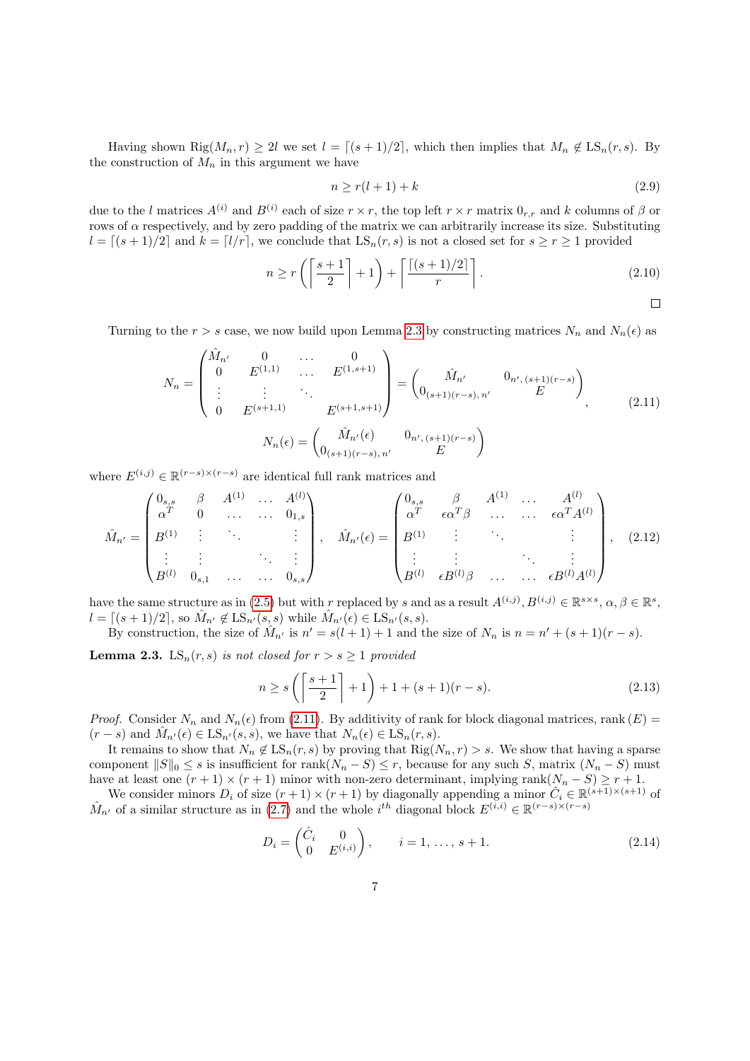Having shown Rig $(M_n, r) \geq 2l$  we set  $l = \lfloor (s + 1)/2 \rfloor$ , which then implies that  $M_n \notin \text{LS}_n(r, s)$ . By the construction of  $M_n$  in this argument we have

$$
n \ge r(l+1) + k \tag{2.9}
$$

due to the l matrices  $A^{(i)}$  and  $B^{(i)}$  each of size  $r \times r$ , the top left  $r \times r$  matrix  $0_{r,r}$  and k columns of  $\beta$  or rows of  $\alpha$  respectively, and by zero padding of the matrix we can arbitrarily increase its size. Substituting  $l = (s + 1)/2$  and  $k = (l/r)$ , we conclude that  $LS_n(r, s)$  is not a closed set for  $s \ge r \ge 1$  provided

$$
n \ge r \left( \left\lceil \frac{s+1}{2} \right\rceil + 1 \right) + \left\lceil \frac{\lceil (s+1)/2 \rceil}{r} \right\rceil. \tag{2.10}
$$

<span id="page-6-3"></span><span id="page-6-0"></span> $\Box$ 

Turning to the  $r > s$  case, we now build upon Lemma [2.3](#page-6-1) by constructing matrices  $N_n$  and  $N_n(\epsilon)$  as

$$
N_n = \begin{pmatrix} \hat{M}_{n'} & 0 & \dots & 0 \\ 0 & E^{(1,1)} & \dots & E^{(1,s+1)} \\ \vdots & \vdots & \ddots & \vdots \\ 0 & E^{(s+1,1)} & E^{(s+1,s+1)} \end{pmatrix} = \begin{pmatrix} \hat{M}_{n'} & 0_{n',(s+1)(r-s)} \\ 0_{(s+1)(r-s),n'} & E \end{pmatrix},
$$
(2.11)  

$$
N_n(\epsilon) = \begin{pmatrix} \hat{M}_{n'}(\epsilon) & 0_{n',(s+1)(r-s)} \\ 0_{(s+1)(r-s),n'} & E \end{pmatrix}
$$

where  $E^{(i,j)} \in \mathbb{R}^{(r-s)\times(r-s)}$  are identical full rank matrices and

$$
\hat{M}_{n'} = \begin{pmatrix}\n0_{s,s} & \beta & A^{(1)} & \dots & A^{(l)} \\
\alpha^T & 0 & \dots & \dots & 0_{1,s} \\
B^{(1)} & \vdots & \ddots & & \vdots \\
\vdots & \vdots & & \ddots & \vdots \\
B^{(l)} & 0_{s,1} & \dots & \dots & 0_{s,s}\n\end{pmatrix}, \quad \hat{M}_{n'}(\epsilon) = \begin{pmatrix}\n0_{s,s} & \beta & A^{(1)} & \dots & A^{(l)} \\
\alpha^T & \epsilon \alpha^T \beta & \dots & \dots & \epsilon \alpha^T A^{(l)} \\
B^{(1)} & \vdots & \ddots & & \vdots \\
\vdots & \vdots & & \ddots & \vdots \\
B^{(l)} & \epsilon B^{(l)} \beta & \dots & \dots & \epsilon B^{(l)} A^{(l)}\n\end{pmatrix},
$$
\n(2.12)

have the same structure as in [\(2.5\)](#page-4-1) but with r replaced by s and as a result  $A^{(i,j)}, B^{(i,j)} \in \mathbb{R}^{s \times s}, \alpha, \beta \in \mathbb{R}^s$ ,  $l = \lceil (s + 1)/2 \rceil$ , so  $\hat{M}_{n'} \notin \text{LS}_{n'}(s, s)$  while  $\hat{M}_{n'}(\epsilon) \in \text{LS}_{n'}(s, s)$ .

By construction, the size of  $\hat{M}_{n'}$  is  $n' = s(l+1) + 1$  and the size of  $N_n$  is  $n = n' + (s+1)(r - s)$ .

<span id="page-6-1"></span>**Lemma 2.3.** LS<sub>n</sub>(r, s) is not closed for  $r > s \ge 1$  provided

<span id="page-6-2"></span>
$$
n \ge s \left( \left\lceil \frac{s+1}{2} \right\rceil + 1 \right) + 1 + (s+1)(r-s). \tag{2.13}
$$

*Proof.* Consider  $N_n$  and  $N_n(\epsilon)$  from [\(2.11\)](#page-6-0). By additivity of rank for block diagonal matrices, rank  $(E)$  $(r - s)$  and  $\hat{M}_{n'}(\epsilon) \in \text{LS}_{n'}(s, s)$ , we have that  $N_n(\epsilon) \in \text{LS}_{n}(r, s)$ .

It remains to show that  $N_n \notin \text{LS}_n(r, s)$  by proving that  $\text{Rig}(N_n, r) > s$ . We show that having a sparse component  $||S||_0 \leq s$  is insufficient for rank $(N_n - S) \leq r$ , because for any such S, matrix  $(N_n - S)$  must have at least one  $(r + 1) \times (r + 1)$  minor with non-zero determinant, implying rank $(N_n - S) \ge r + 1$ .

We consider minors  $D_i$  of size  $(r+1) \times (r+1)$  by diagonally appending a minor  $\hat{C}_i \in \mathbb{R}^{(s+1)\times (s+1)}$  of  $\hat{M}_{n'}$  of a similar structure as in [\(2.7\)](#page-5-1) and the whole i<sup>th</sup> diagonal block  $E^{(i,i)} \in \mathbb{R}^{(r-s)\times(r-s)}$ 

$$
D_i = \begin{pmatrix} \hat{C}_i & 0 \\ 0 & E^{(i,i)} \end{pmatrix}, \qquad i = 1, \dots, s+1.
$$
 (2.14)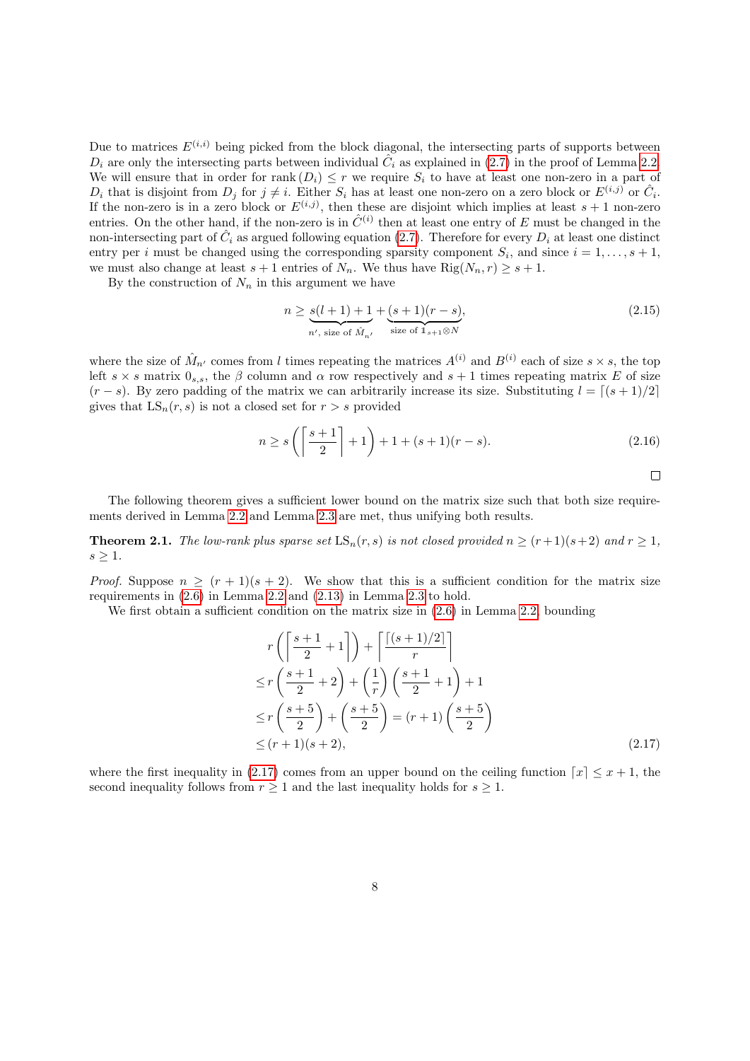Due to matrices  $E^{(i,i)}$  being picked from the block diagonal, the intersecting parts of supports between  $D_i$  are only the intersecting parts between individual  $\tilde{C}_i$  as explained in [\(2.7\)](#page-5-1) in the proof of Lemma [2.2.](#page-5-0) We will ensure that in order for rank  $(D_i) \leq r$  we require  $S_i$  to have at least one non-zero in a part of  $D_i$  that is disjoint from  $D_j$  for  $j \neq i$ . Either  $S_i$  has at least one non-zero on a zero block or  $E^{(i,j)}$  or  $\hat{C}_i$ . If the non-zero is in a zero block or  $E^{(i,j)}$ , then these are disjoint which implies at least  $s + 1$  non-zero entries. On the other hand, if the non-zero is in  $\hat{C}^{(i)}$  then at least one entry of E must be changed in the non-intersecting part of  $\hat{C}_i$  as argued following equation [\(2.7\)](#page-5-1). Therefore for every  $D_i$  at least one distinct entry per *i* must be changed using the corresponding sparsity component  $S_i$ , and since  $i = 1, \ldots, s + 1$ , we must also change at least  $s + 1$  entries of  $N_n$ . We thus have  $\text{Rig}(N_n, r) \geq s + 1$ .

By the construction of  $N_n$  in this argument we have

$$
n \ge \underbrace{s(l+1)+1}_{n', \text{ size of } \hat{M}_{n'}} + \underbrace{(s+1)(r-s)}_{\text{size of } 1_{s+1} \otimes N},\tag{2.15}
$$

where the size of  $\hat{M}_{n'}$  comes from l times repeating the matrices  $A^{(i)}$  and  $B^{(i)}$  each of size  $s \times s$ , the top left  $s \times s$  matrix  $0_{s,s}$ , the  $\beta$  column and  $\alpha$  row respectively and  $s+1$  times repeating matrix E of size  $(r - s)$ . By zero padding of the matrix we can arbitrarily increase its size. Substituting  $l = \lfloor (s + 1)/2 \rfloor$ gives that  $LS_n(r, s)$  is not a closed set for  $r > s$  provided

$$
n \ge s \left( \left\lceil \frac{s+1}{2} \right\rceil + 1 \right) + 1 + (s+1)(r-s). \tag{2.16}
$$

<span id="page-7-1"></span>
$$
\qquad \qquad \Box
$$

The following theorem gives a sufficient lower bound on the matrix size such that both size requirements derived in Lemma [2.2](#page-5-0) and Lemma [2.3](#page-6-1) are met, thus unifying both results.

<span id="page-7-0"></span>**Theorem 2.1.** The low-rank plus sparse set  $LS_n(r, s)$  is not closed provided  $n \ge (r+1)(s+2)$  and  $r \ge 1$ ,  $s \geq 1$ .

*Proof.* Suppose  $n \geq (r+1)(s+2)$ . We show that this is a sufficient condition for the matrix size requirements in [\(2.6\)](#page-5-2) in Lemma [2.2](#page-5-0) and [\(2.13\)](#page-6-2) in Lemma [2.3](#page-6-1) to hold.

We first obtain a sufficient condition on the matrix size in  $(2.6)$  in Lemma [2.2,](#page-5-0) bounding

$$
r\left(\left\lceil \frac{s+1}{2} + 1 \right\rceil\right) + \left\lceil \frac{\left\lceil (s+1)/2 \right\rceil}{r} \right\rceil
$$
  
\n
$$
\le r\left(\frac{s+1}{2} + 2\right) + \left(\frac{1}{r}\right)\left(\frac{s+1}{2} + 1\right) + 1
$$
  
\n
$$
\le r\left(\frac{s+5}{2}\right) + \left(\frac{s+5}{2}\right) = (r+1)\left(\frac{s+5}{2}\right)
$$
  
\n
$$
\le (r+1)(s+2), \tag{2.17}
$$

where the first inequality in [\(2.17\)](#page-7-1) comes from an upper bound on the ceiling function  $\lceil x \rceil \leq x + 1$ , the second inequality follows from  $r \geq 1$  and the last inequality holds for  $s \geq 1$ .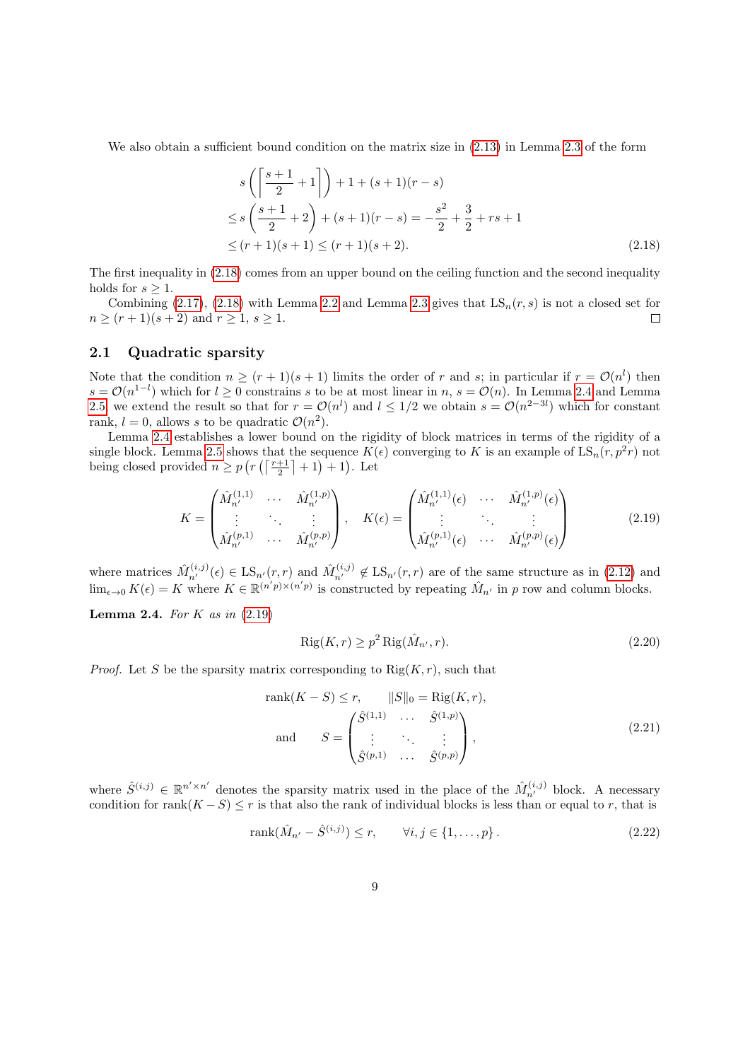We also obtain a sufficient bound condition on the matrix size in [\(2.13\)](#page-6-2) in Lemma [2.3](#page-6-1) of the form

<span id="page-8-0"></span>
$$
s\left(\left\lceil \frac{s+1}{2} + 1 \right\rceil\right) + 1 + (s+1)(r-s)
$$
  
\n
$$
\leq s\left(\frac{s+1}{2} + 2\right) + (s+1)(r-s) = -\frac{s^2}{2} + \frac{3}{2} + rs + 1
$$
  
\n
$$
\leq (r+1)(s+1) \leq (r+1)(s+2).
$$
\n(2.18)

The first inequality in [\(2.18\)](#page-8-0) comes from an upper bound on the ceiling function and the second inequality holds for  $s \geq 1$ .

Combining [\(2.17\)](#page-7-1), [\(2.18\)](#page-8-0) with Lemma [2.2](#page-5-0) and Lemma [2.3](#page-6-1) gives that  $LS_n(r, s)$  is not a closed set for  $n \ge (r+1)(s+2)$  and  $r \ge 1, s \ge 1$ .  $\Box$ 

### 2.1 Quadratic sparsity

Note that the condition  $n \geq (r+1)(s+1)$  limits the order of r and s; in particular if  $r = \mathcal{O}(n^l)$  then  $s = \mathcal{O}(n^{1-l})$  which for  $l \geq 0$  constrains s to be at most linear in  $n, s = \mathcal{O}(n)$ . In Lemma [2.4](#page-8-1) and Lemma [2.5,](#page-9-1) we extend the result so that for  $r = \mathcal{O}(n^l)$  and  $l \leq 1/2$  we obtain  $s = \mathcal{O}(n^{2-3l})$  which for constant rank,  $l = 0$ , allows s to be quadratic  $\mathcal{O}(n^2)$ .

Lemma [2.4](#page-8-1) establishes a lower bound on the rigidity of block matrices in terms of the rigidity of a single block. Lemma [2.5](#page-9-1) shows that the sequence  $K(\epsilon)$  converging to K is an example of  $\text{LS}_n(r, p^2r)$  not being closed provided  $n \geq p(r(\lceil \frac{r+1}{2} \rceil + 1) + 1)$ . Let

$$
K = \begin{pmatrix} \hat{M}_{n'}^{(1,1)} & \cdots & \hat{M}_{n'}^{(1,p)} \\ \vdots & \ddots & \vdots \\ \hat{M}_{n'}^{(p,1)} & \cdots & \hat{M}_{n'}^{(p,p)} \end{pmatrix}, \quad K(\epsilon) = \begin{pmatrix} \hat{M}_{n'}^{(1,1)}(\epsilon) & \cdots & \hat{M}_{n'}^{(1,p)}(\epsilon) \\ \vdots & \ddots & \vdots \\ \hat{M}_{n'}^{(p,1)}(\epsilon) & \cdots & \hat{M}_{n'}^{(p,p)}(\epsilon) \end{pmatrix}
$$
(2.19)

where matrices  $\hat{M}_{n'}^{(i,j)}(\epsilon) \in \text{LS}_{n'}(r,r)$  and  $\hat{M}_{n'}^{(i,j)} \notin \text{LS}_{n'}(r,r)$  are of the same structure as in [\(2.12\)](#page-6-3) and  $\lim_{\epsilon \to 0} K(\epsilon) = K$  where  $K \in \mathbb{R}^{(n'p) \times (n'p)}$  is constructed by repeating  $\hat{M}_{n'}$  in p row and column blocks.

<span id="page-8-1"></span>**Lemma 2.4.** For K as in  $(2.19)$ 

<span id="page-8-2"></span>
$$
Rig(K,r) \ge p^2 Rig(\hat{M}_{n'},r). \tag{2.20}
$$

*Proof.* Let S be the sparsity matrix corresponding to  $\text{Rig}(K, r)$ , such that

rank
$$
(K - S) \le r
$$
,  $||S||_0 = \text{Rig}(K, r)$ ,  
and  $S = \begin{pmatrix} \hat{S}^{(1,1)} & \cdots & \hat{S}^{(1,p)} \\ \vdots & \ddots & \vdots \\ \hat{S}^{(p,1)} & \cdots & \hat{S}^{(p,p)} \end{pmatrix}$ , (2.21)

where  $\hat{S}^{(i,j)} \in \mathbb{R}^{n' \times n'}$  denotes the sparsity matrix used in the place of the  $\hat{M}_{n'}^{(i,j)}$  block. A necessary condition for rank $(K - S) \leq r$  is that also the rank of individual blocks is less than or equal to r, that is

rank
$$
(\hat{M}_{n'} - \hat{S}^{(i,j)}) \le r
$$
,  $\forall i, j \in \{1, ..., p\}$ . (2.22)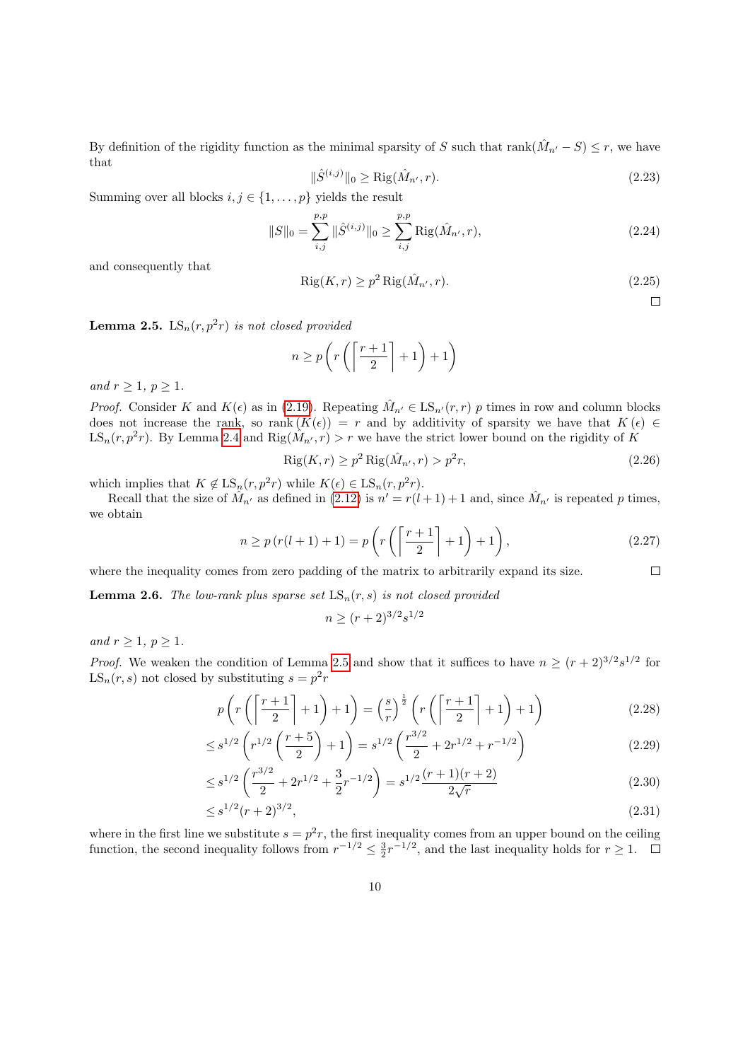By definition of the rigidity function as the minimal sparsity of S such that  $rank(\hat{M}_{n'} - S) \leq r$ , we have that

$$
\|\hat{S}^{(i,j)}\|_{0} \ge \text{Rig}(\hat{M}_{n'}, r). \tag{2.23}
$$

Summing over all blocks  $i, j \in \{1, ..., p\}$  yields the result

$$
||S||_0 = \sum_{i,j}^{p,p} ||\hat{S}^{(i,j)}||_0 \ge \sum_{i,j}^{p,p} \text{Rig}(\hat{M}_{n'}, r), \qquad (2.24)
$$

and consequently that

$$
Rig(K,r) \ge p^2 Rig(\hat{M}_{n'},r). \tag{2.25}
$$

 $\Box$ 

<span id="page-9-1"></span>**Lemma 2.5.**  $LS_n(r, p^2r)$  is not closed provided

$$
n \ge p\left(r\left(\left\lceil\frac{r+1}{2}\right\rceil + 1\right) + 1\right)
$$

and  $r \geq 1, p \geq 1$ .

*Proof.* Consider K and  $K(\epsilon)$  as in [\(2.19\)](#page-8-2). Repeating  $\hat{M}_{n'} \in \text{LS}_{n'}(r,r)$  p times in row and column blocks does not increase the rank, so rank  $(K(\epsilon)) = r$  and by additivity of sparsity we have that  $K(\epsilon) \in$  $LS_n(r, p^2r)$ . By Lemma [2.4](#page-8-1) and  $\text{Rig}(\hat{M}_{n'}, r) > r$  we have the strict lower bound on the rigidity of K

$$
\operatorname{Rig}(K,r) \ge p^2 \operatorname{Rig}(\hat{M}_{n'},r) > p^2r,\tag{2.26}
$$

which implies that  $K \notin \text{LS}_n(r, p^2r)$  while  $K(\epsilon) \in \text{LS}_n(r, p^2r)$ .

Recall that the size of  $\hat{M}_{n'}$  as defined in [\(2.12\)](#page-6-3) is  $n' = r(l+1) + 1$  and, since  $\hat{M}_{n'}$  is repeated p times, we obtain

$$
n \ge p(r(l+1)+1) = p\left(r\left(\left\lceil\frac{r+1}{2}\right\rceil + 1\right) + 1\right),\tag{2.27}
$$

 $\Box$ where the inequality comes from zero padding of the matrix to arbitrarily expand its size.

<span id="page-9-0"></span>**Lemma 2.6.** The low-rank plus sparse set  $LS_n(r, s)$  is not closed provided

 $n \ge (r+2)^{3/2} s^{1/2}$ 

and  $r \geq 1, p \geq 1$ .

*Proof.* We weaken the condition of Lemma [2.5](#page-9-1) and show that it suffices to have  $n \ge (r+2)^{3/2} s^{1/2}$  for  $LS_n(r, s)$  not closed by substituting  $s = p^2r$ 

$$
p\left(r\left(\left\lceil\frac{r+1}{2}\right\rceil+1\right)+1\right) = \left(\frac{s}{r}\right)^{\frac{1}{2}}\left(r\left(\left\lceil\frac{r+1}{2}\right\rceil+1\right)+1\right) \tag{2.28}
$$

$$
\leq s^{1/2} \left( r^{1/2} \left( \frac{r+5}{2} \right) + 1 \right) = s^{1/2} \left( \frac{r^{3/2}}{2} + 2r^{1/2} + r^{-1/2} \right) \tag{2.29}
$$

$$
\leq s^{1/2} \left( \frac{r^{3/2}}{2} + 2r^{1/2} + \frac{3}{2}r^{-1/2} \right) = s^{1/2} \frac{(r+1)(r+2)}{2\sqrt{r}} \tag{2.30}
$$

$$
\leq s^{1/2}(r+2)^{3/2},\tag{2.31}
$$

where in the first line we substitute  $s = p^2r$ , the first inequality comes from an upper bound on the ceiling function, the second inequality follows from  $r^{-1/2} \leq \frac{3}{2}r^{-1/2}$ , and the last inequality holds for  $r \geq 1$ .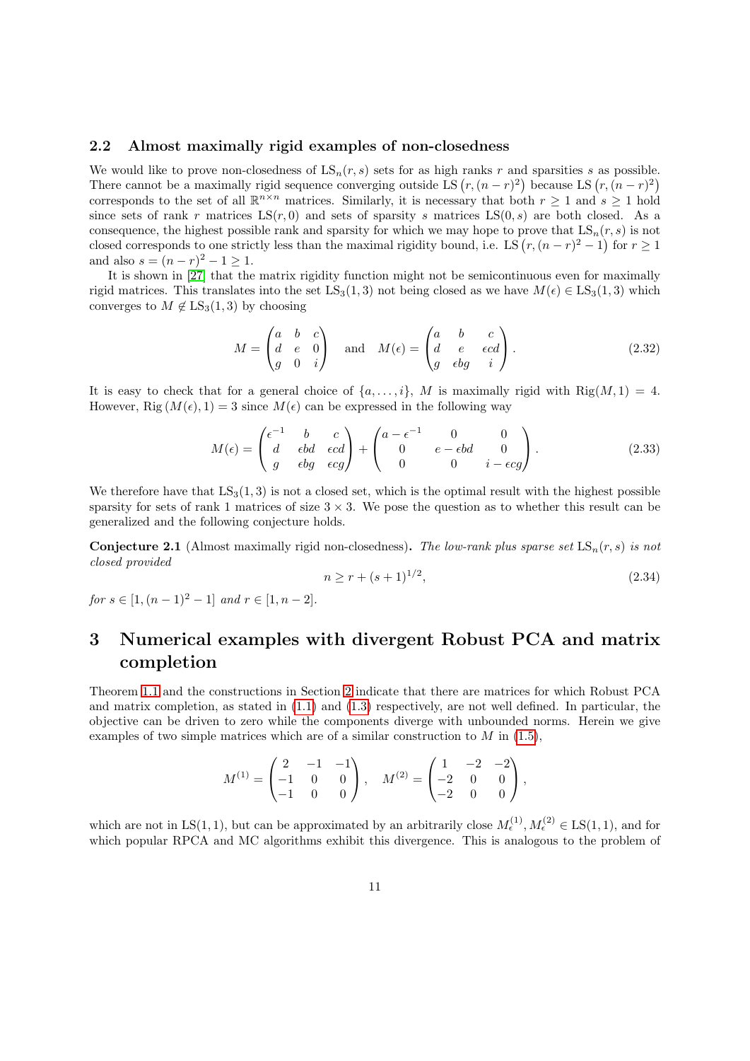### 2.2 Almost maximally rigid examples of non-closedness

We would like to prove non-closedness of  $LS_n(r, s)$  sets for as high ranks r and sparsities s as possible. There cannot be a maximally rigid sequence converging outside LS  $(r, (n - r)^2)$  because LS  $(r, (n - r)^2)$ corresponds to the set of all  $\mathbb{R}^{n \times n}$  matrices. Similarly, it is necessary that both  $r \geq 1$  and  $s \geq 1$  hold since sets of rank r matrices  $LS(r, 0)$  and sets of sparsity s matrices  $LS(0, s)$  are both closed. As a consequence, the highest possible rank and sparsity for which we may hope to prove that  $LS_n(r, s)$  is not closed corresponds to one strictly less than the maximal rigidity bound, i.e. LS  $(r,(n-r)^2-1)$  for  $r\geq 1$ and also  $s = (n - r)^2 - 1 \ge 1$ .

It is shown in [\[27\]](#page-15-11) that the matrix rigidity function might not be semicontinuous even for maximally rigid matrices. This translates into the set  $LS_3(1,3)$  not being closed as we have  $M(\epsilon) \in LS_3(1,3)$  which converges to  $M \notin LS_3(1, 3)$  by choosing

$$
M = \begin{pmatrix} a & b & c \\ d & e & 0 \\ g & 0 & i \end{pmatrix} \quad \text{and} \quad M(\epsilon) = \begin{pmatrix} a & b & c \\ d & e & \epsilon cd \\ g & \epsilon bg & i \end{pmatrix}.
$$
 (2.32)

It is easy to check that for a general choice of  $\{a, \ldots, i\}$ , M is maximally rigid with Rig $(M, 1) = 4$ . However, Rig  $(M(\epsilon), 1) = 3$  since  $M(\epsilon)$  can be expressed in the following way

$$
M(\epsilon) = \begin{pmatrix} \epsilon^{-1} & b & c \\ d & \epsilon bd & \epsilon cd \\ g & \epsilon bg & \epsilon cg \end{pmatrix} + \begin{pmatrix} a - \epsilon^{-1} & 0 & 0 \\ 0 & e - \epsilon bd & 0 \\ 0 & 0 & i - \epsilon cg \end{pmatrix}.
$$
 (2.33)

We therefore have that  $LS_3(1,3)$  is not a closed set, which is the optimal result with the highest possible sparsity for sets of rank 1 matrices of size  $3 \times 3$ . We pose the question as to whether this result can be generalized and the following conjecture holds.

<span id="page-10-1"></span>**Conjecture 2.1** (Almost maximally rigid non-closedness). The low-rank plus sparse set  $LS_n(r, s)$  is not closed provided

$$
n \ge r + (s+1)^{1/2},\tag{2.34}
$$

for  $s \in [1,(n-1)^2-1]$  and  $r \in [1,n-2]$ .

## <span id="page-10-0"></span>3 Numerical examples with divergent Robust PCA and matrix completion

Theorem [1.1](#page-2-0) and the constructions in Section [2](#page-4-0) indicate that there are matrices for which Robust PCA and matrix completion, as stated in [\(1.1\)](#page-1-0) and [\(1.3\)](#page-1-1) respectively, are not well defined. In particular, the objective can be driven to zero while the components diverge with unbounded norms. Herein we give examples of two simple matrices which are of a similar construction to  $M$  in [\(1.5\)](#page-2-2),

$$
M^{(1)} = \begin{pmatrix} 2 & -1 & -1 \\ -1 & 0 & 0 \\ -1 & 0 & 0 \end{pmatrix}, \quad M^{(2)} = \begin{pmatrix} 1 & -2 & -2 \\ -2 & 0 & 0 \\ -2 & 0 & 0 \end{pmatrix},
$$

which are not in LS(1, 1), but can be approximated by an arbitrarily close  $M_{\epsilon}^{(1)}$ ,  $M_{\epsilon}^{(2)} \in \text{LS}(1,1)$ , and for which popular RPCA and MC algorithms exhibit this divergence. This is analogous to the problem of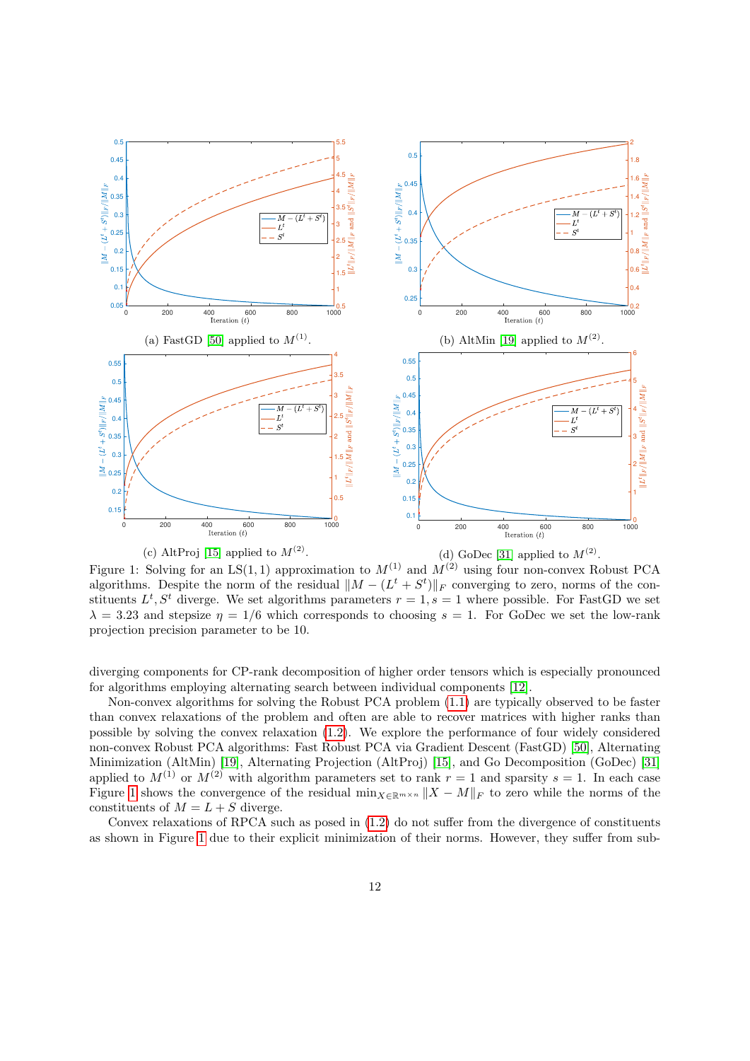<span id="page-11-0"></span>

(c) AltProj [\[15\]](#page-14-12) applied to  $M^{(2)}$ . (d) GoDec [\[31\]](#page-15-13) applied to  $M^{(2)}$ .

Figure 1: Solving for an LS(1,1) approximation to  $M^{(1)}$  and  $M^{(2)}$  using four non-convex Robust PCA algorithms. Despite the norm of the residual  $\|M - (L^t + S^t)\|_F$  converging to zero, norms of the constituents  $L^t$ ,  $S^t$  diverge. We set algorithms parameters  $r = 1$ ,  $s = 1$  where possible. For FastGD we set  $\lambda = 3.23$  and stepsize  $\eta = 1/6$  which corresponds to choosing  $s = 1$ . For GoDec we set the low-rank projection precision parameter to be 10.

diverging components for CP-rank decomposition of higher order tensors which is especially pronounced for algorithms employing alternating search between individual components [\[12\]](#page-14-13).

Non-convex algorithms for solving the Robust PCA problem [\(1.1\)](#page-1-0) are typically observed to be faster than convex relaxations of the problem and often are able to recover matrices with higher ranks than possible by solving the convex relaxation [\(1.2\)](#page-1-2). We explore the performance of four widely considered non-convex Robust PCA algorithms: Fast Robust PCA via Gradient Descent (FastGD) [\[50\]](#page-17-2), Alternating Minimization (AltMin) [\[19\]](#page-15-12), Alternating Projection (AltProj) [\[15\]](#page-14-12), and Go Decomposition (GoDec) [\[31\]](#page-15-13) applied to  $M^{(1)}$  or  $M^{(2)}$  with algorithm parameters set to rank  $r = 1$  and sparsity  $s = 1$ . In each case Figure [1](#page-11-0) shows the convergence of the residual min $_{X\in\mathbb{R}^{m\times n}}||X - M||_F$  to zero while the norms of the constituents of  $M = L + S$  diverge.

Convex relaxations of RPCA such as posed in [\(1.2\)](#page-1-2) do not suffer from the divergence of constituents as shown in Figure [1](#page-11-0) due to their explicit minimization of their norms. However, they suffer from sub-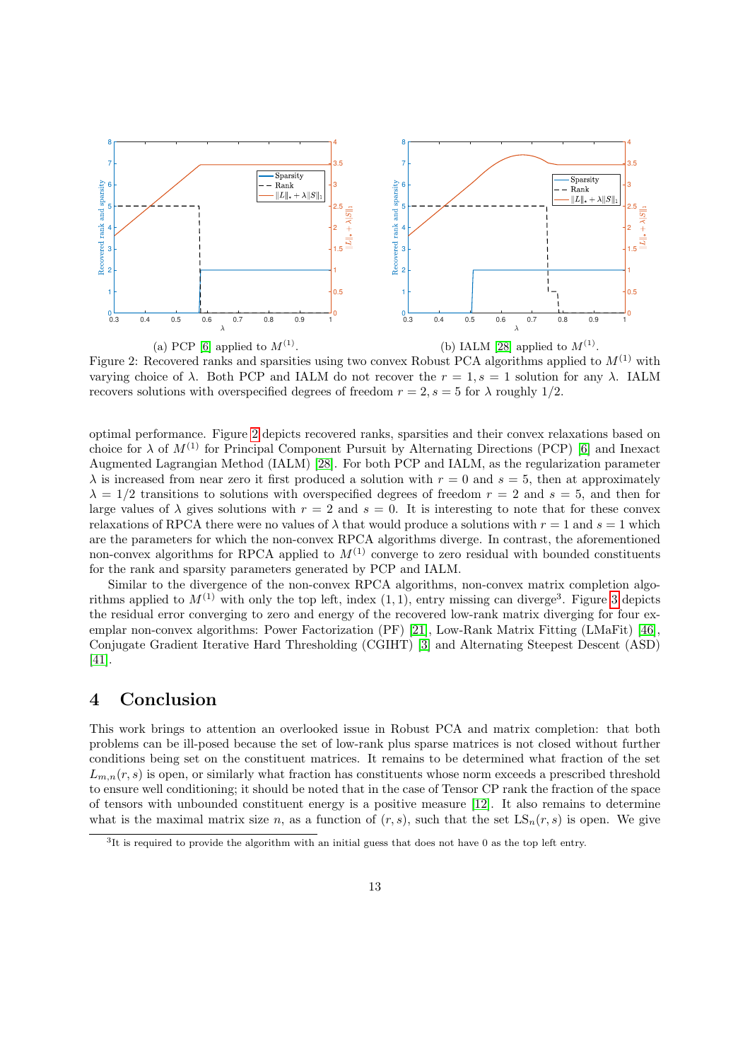<span id="page-12-0"></span>

Figure 2: Recovered ranks and sparsities using two convex Robust PCA algorithms applied to  $M^{(1)}$  with varying choice of  $\lambda$ . Both PCP and IALM do not recover the  $r = 1, s = 1$  solution for any  $\lambda$ . IALM recovers solutions with overspecified degrees of freedom  $r = 2$ ,  $s = 5$  for  $\lambda$  roughly 1/2.

optimal performance. Figure [2](#page-12-0) depicts recovered ranks, sparsities and their convex relaxations based on choice for  $\lambda$  of  $M^{(1)}$  for Principal Component Pursuit by Alternating Directions (PCP) [\[6\]](#page-14-7) and Inexact Augmented Lagrangian Method (IALM) [\[28\]](#page-15-14). For both PCP and IALM, as the regularization parameter  $\lambda$  is increased from near zero it first produced a solution with  $r = 0$  and  $s = 5$ , then at approximately  $\lambda = 1/2$  transitions to solutions with overspecified degrees of freedom  $r = 2$  and  $s = 5$ , and then for large values of  $\lambda$  gives solutions with  $r = 2$  and  $s = 0$ . It is interesting to note that for these convex relaxations of RPCA there were no values of  $\lambda$  that would produce a solutions with  $r = 1$  and  $s = 1$  which are the parameters for which the non-convex RPCA algorithms diverge. In contrast, the aforementioned non-convex algorithms for RPCA applied to  $M^{(1)}$  converge to zero residual with bounded constituents for the rank and sparsity parameters generated by PCP and IALM.

Similar to the divergence of the non-convex RPCA algorithms, non-convex matrix completion algorithms applied to  $M^{(1)}$  with only the top left, index  $(1,1)$ , entry missing can diverge<sup>3</sup>. Figure [3](#page-13-2) depicts the residual error converging to zero and energy of the recovered low-rank matrix diverging for four exemplar non-convex algorithms: Power Factorization (PF) [\[21\]](#page-15-8), Low-Rank Matrix Fitting (LMaFit) [\[46\]](#page-16-12), Conjugate Gradient Iterative Hard Thresholding (CGIHT) [\[3\]](#page-14-14) and Alternating Steepest Descent (ASD) [\[41\]](#page-16-11).

### 4 Conclusion

This work brings to attention an overlooked issue in Robust PCA and matrix completion: that both problems can be ill-posed because the set of low-rank plus sparse matrices is not closed without further conditions being set on the constituent matrices. It remains to be determined what fraction of the set  $L_{m,n}(r, s)$  is open, or similarly what fraction has constituents whose norm exceeds a prescribed threshold to ensure well conditioning; it should be noted that in the case of Tensor CP rank the fraction of the space of tensors with unbounded constituent energy is a positive measure [\[12\]](#page-14-13). It also remains to determine what is the maximal matrix size n, as a function of  $(r, s)$ , such that the set  $LS_n(r, s)$  is open. We give

<sup>3</sup> It is required to provide the algorithm with an initial guess that does not have 0 as the top left entry.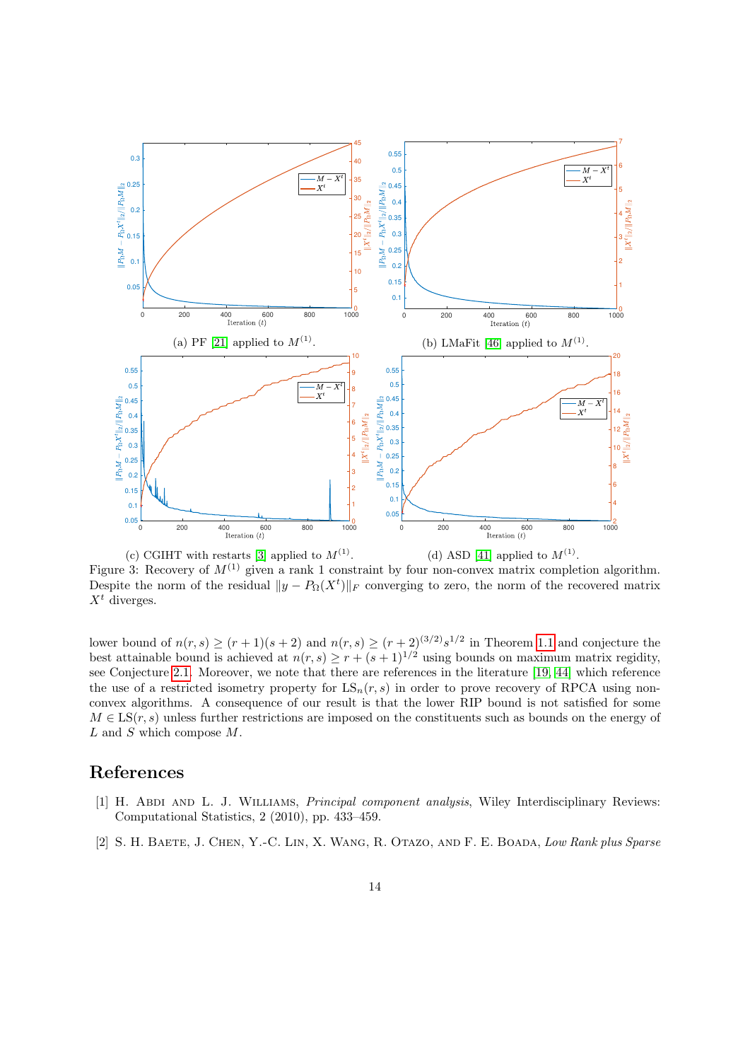<span id="page-13-2"></span>

(c) CGIHT with restarts [\[3\]](#page-14-14) applied to  $M^{(1)}$ . (d) ASD [\[41\]](#page-16-11) applied to  $M^{(1)}$ . Figure 3: Recovery of  $M^{(1)}$  given a rank 1 constraint by four non-convex matrix completion algorithm. Despite the norm of the residual  $||y - P_{\Omega}(X^t)||_F$  converging to zero, the norm of the recovered matrix  $X^t$  diverges.

lower bound of  $n(r, s) \ge (r + 1)(s + 2)$  and  $n(r, s) \ge (r + 2)^{(3/2)} s^{1/2}$  in Theorem [1.1](#page-2-0) and conjecture the best attainable bound is achieved at  $n(r, s) \geq r + (s + 1)^{1/2}$  using bounds on maximum matrix regidity, see Conjecture [2.1.](#page-10-1) Moreover, we note that there are references in the literature [\[19,](#page-15-12) [44\]](#page-16-14) which reference the use of a restricted isometry property for  $LS_n(r, s)$  in order to prove recovery of RPCA using nonconvex algorithms. A consequence of our result is that the lower RIP bound is not satisfied for some  $M \in \mathrm{LS}(r, s)$  unless further restrictions are imposed on the constituents such as bounds on the energy of  $L$  and  $S$  which compose  $M$ .

### References

- <span id="page-13-0"></span>[1] H. ABDI AND L. J. WILLIAMS, *Principal component analysis*, Wiley Interdisciplinary Reviews: Computational Statistics, 2 (2010), pp. 433–459.
- <span id="page-13-1"></span>[2] S. H. Baete, J. Chen, Y.-C. Lin, X. Wang, R. Otazo, and F. E. Boada, Low Rank plus Sparse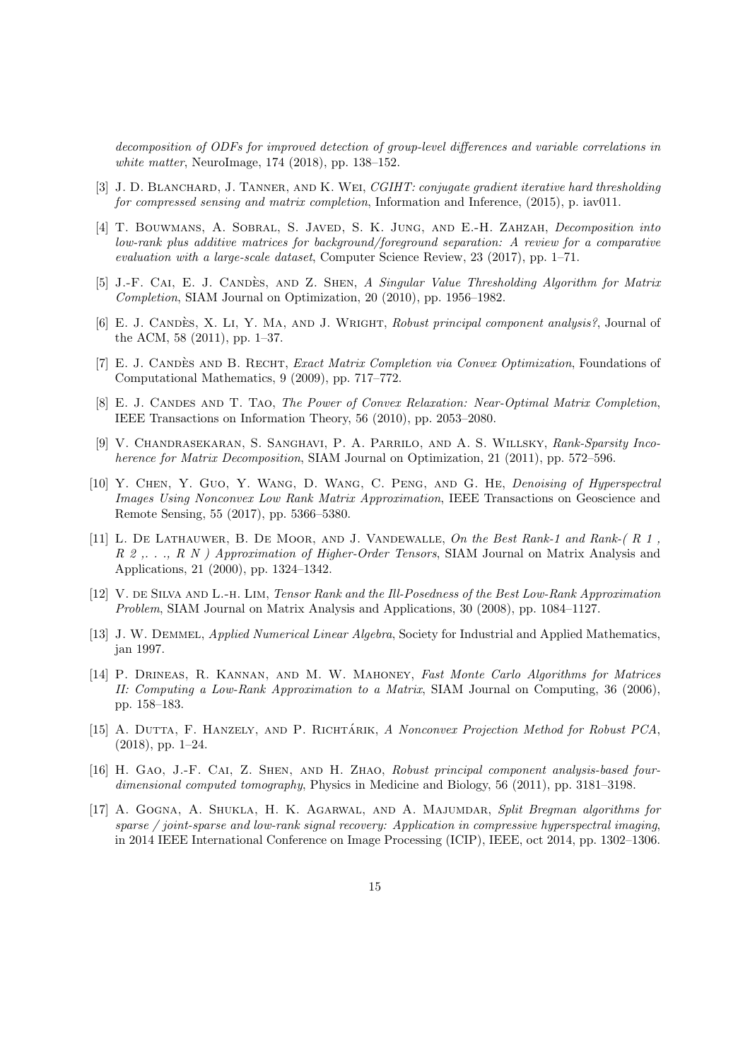decomposition of ODFs for improved detection of group-level differences and variable correlations in white matter, NeuroImage, 174 (2018), pp. 138–152.

- <span id="page-14-14"></span>[3] J. D. BLANCHARD, J. TANNER, AND K. WEI, CGIHT: conjugate gradient iterative hard thresholding for compressed sensing and matrix completion, Information and Inference, (2015), p. iav011.
- <span id="page-14-6"></span>[4] T. Bouwmans, A. Sobral, S. Javed, S. K. Jung, and E.-H. Zahzah, Decomposition into low-rank plus additive matrices for background/foreground separation: A review for a comparative evaluation with a large-scale dataset, Computer Science Review, 23 (2017), pp. 1–71.
- <span id="page-14-11"></span>[5] J.-F. CAI, E. J. CANDÈS, AND Z. SHEN, A Singular Value Thresholding Algorithm for Matrix Completion, SIAM Journal on Optimization, 20 (2010), pp. 1956–1982.
- <span id="page-14-7"></span>[6] E. J. CANDÈS, X. LI, Y. MA, AND J. WRIGHT, Robust principal component analysis?, Journal of the ACM, 58 (2011), pp. 1–37.
- <span id="page-14-9"></span>[7] E. J. CANDÈS AND B. RECHT, *Exact Matrix Completion via Convex Optimization*, Foundations of Computational Mathematics, 9 (2009), pp. 717–772.
- <span id="page-14-10"></span>[8] E. J. CANDES AND T. TAO, The Power of Convex Relaxation: Near-Optimal Matrix Completion, IEEE Transactions on Information Theory, 56 (2010), pp. 2053–2080.
- <span id="page-14-8"></span>[9] V. Chandrasekaran, S. Sanghavi, P. A. Parrilo, and A. S. Willsky, Rank-Sparsity Incoherence for Matrix Decomposition, SIAM Journal on Optimization, 21 (2011), pp. 572–596.
- <span id="page-14-4"></span>[10] Y. Chen, Y. Guo, Y. Wang, D. Wang, C. Peng, and G. He, Denoising of Hyperspectral Images Using Nonconvex Low Rank Matrix Approximation, IEEE Transactions on Geoscience and Remote Sensing, 55 (2017), pp. 5366–5380.
- <span id="page-14-2"></span>[11] L. DE LATHAUWER, B. DE MOOR, AND J. VANDEWALLE, On the Best Rank-1 and Rank- $(R_1, R_2, R_3)$ R 2,.., R N ) Approximation of Higher-Order Tensors, SIAM Journal on Matrix Analysis and Applications, 21 (2000), pp. 1324–1342.
- <span id="page-14-13"></span>[12] V. DE SILVA AND L.-H. LIM, Tensor Rank and the Ill-Posedness of the Best Low-Rank Approximation Problem, SIAM Journal on Matrix Analysis and Applications, 30 (2008), pp. 1084–1127.
- <span id="page-14-0"></span>[13] J. W. DEMMEL, *Applied Numerical Linear Algebra*, Society for Industrial and Applied Mathematics, jan 1997.
- <span id="page-14-1"></span>[14] P. Drineas, R. Kannan, and M. W. Mahoney, Fast Monte Carlo Algorithms for Matrices II: Computing a Low-Rank Approximation to a Matrix, SIAM Journal on Computing, 36 (2006), pp. 158–183.
- <span id="page-14-12"></span>[15] A. DUTTA, F. HANZELY, AND P. RICHTÁRIK, A Nonconvex Projection Method for Robust PCA,  $(2018)$ , pp. 1–24.
- <span id="page-14-5"></span>[16] H. GAO, J.-F. CAI, Z. SHEN, AND H. ZHAO, Robust principal component analysis-based fourdimensional computed tomography, Physics in Medicine and Biology, 56 (2011), pp. 3181–3198.
- <span id="page-14-3"></span>[17] A. Gogna, A. Shukla, H. K. Agarwal, and A. Majumdar, Split Bregman algorithms for sparse / joint-sparse and low-rank signal recovery: Application in compressive hyperspectral imaging, in 2014 IEEE International Conference on Image Processing (ICIP), IEEE, oct 2014, pp. 1302–1306.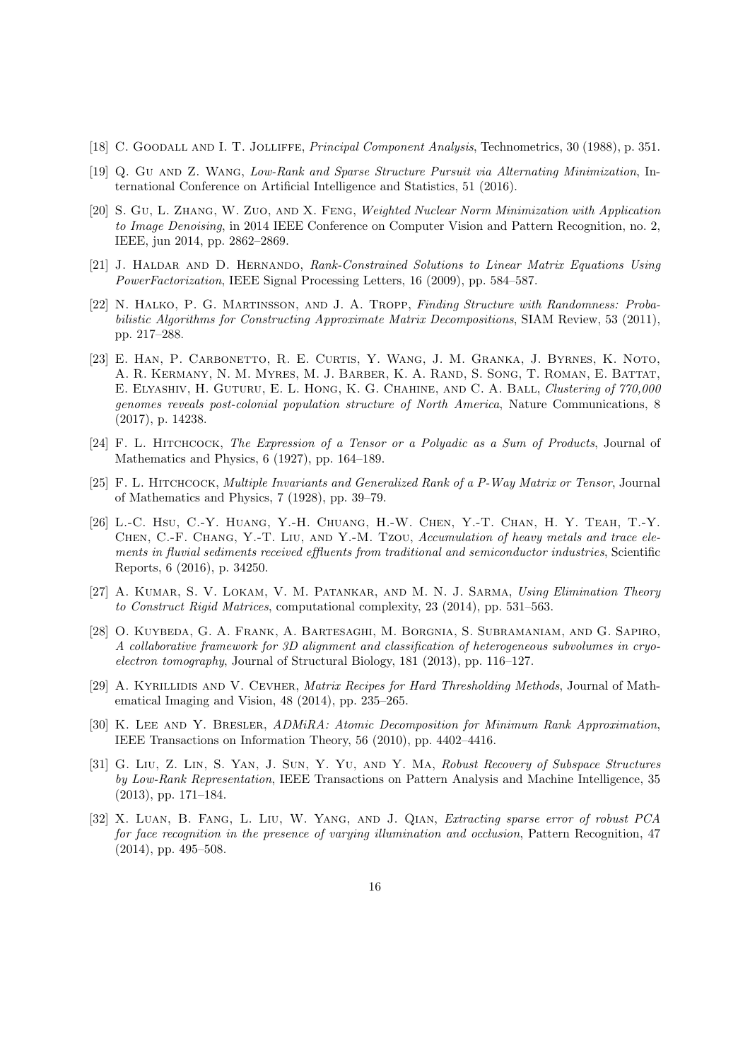- <span id="page-15-0"></span>[18] C. Goodall and I. T. Jolliffe, Principal Component Analysis, Technometrics, 30 (1988), p. 351.
- <span id="page-15-12"></span>[19] Q. Gu and Z. Wang, Low-Rank and Sparse Structure Pursuit via Alternating Minimization, International Conference on Artificial Intelligence and Statistics, 51 (2016).
- <span id="page-15-6"></span>[20] S. Gu, L. Zhang, W. Zuo, and X. Feng, Weighted Nuclear Norm Minimization with Application to Image Denoising, in 2014 IEEE Conference on Computer Vision and Pattern Recognition, no. 2, IEEE, jun 2014, pp. 2862–2869.
- <span id="page-15-8"></span>[21] J. Haldar and D. Hernando, Rank-Constrained Solutions to Linear Matrix Equations Using PowerFactorization, IEEE Signal Processing Letters, 16 (2009), pp. 584–587.
- <span id="page-15-3"></span>[22] N. Halko, P. G. Martinsson, and J. A. Tropp, Finding Structure with Randomness: Probabilistic Algorithms for Constructing Approximate Matrix Decompositions, SIAM Review, 53 (2011), pp. 217–288.
- <span id="page-15-1"></span>[23] E. Han, P. Carbonetto, R. E. Curtis, Y. Wang, J. M. Granka, J. Byrnes, K. Noto, A. R. Kermany, N. M. Myres, M. J. Barber, K. A. Rand, S. Song, T. Roman, E. Battat, E. Elyashiv, H. Guturu, E. L. Hong, K. G. Chahine, and C. A. Ball, Clustering of 770,000 genomes reveals post-colonial population structure of North America, Nature Communications, 8 (2017), p. 14238.
- <span id="page-15-5"></span>[24] F. L. Hitchcock, The Expression of a Tensor or a Polyadic as a Sum of Products, Journal of Mathematics and Physics, 6 (1927), pp. 164–189.
- <span id="page-15-4"></span>[25] F. L. Hitchcock, Multiple Invariants and Generalized Rank of a P-Way Matrix or Tensor, Journal of Mathematics and Physics, 7 (1928), pp. 39–79.
- <span id="page-15-2"></span>[26] L.-C. Hsu, C.-Y. Huang, Y.-H. Chuang, H.-W. Chen, Y.-T. Chan, H. Y. Teah, T.-Y. Chen, C.-F. Chang, Y.-T. Liu, and Y.-M. Tzou, Accumulation of heavy metals and trace elements in fluvial sediments received effluents from traditional and semiconductor industries, Scientific Reports, 6 (2016), p. 34250.
- <span id="page-15-11"></span>[27] A. KUMAR, S. V. LOKAM, V. M. PATANKAR, AND M. N. J. SARMA, Using Elimination Theory to Construct Rigid Matrices, computational complexity, 23 (2014), pp. 531–563.
- <span id="page-15-14"></span>[28] O. Kuybeda, G. A. Frank, A. Bartesaghi, M. Borgnia, S. Subramaniam, and G. Sapiro, A collaborative framework for 3D alignment and classification of heterogeneous subvolumes in cryoelectron tomography, Journal of Structural Biology, 181 (2013), pp. 116–127.
- <span id="page-15-9"></span>[29] A. KYRILLIDIS AND V. CEVHER, *Matrix Recipes for Hard Thresholding Methods*, Journal of Mathematical Imaging and Vision, 48 (2014), pp. 235–265.
- <span id="page-15-10"></span>[30] K. Lee and Y. Bresler, ADMiRA: Atomic Decomposition for Minimum Rank Approximation, IEEE Transactions on Information Theory, 56 (2010), pp. 4402–4416.
- <span id="page-15-13"></span>[31] G. Liu, Z. Lin, S. Yan, J. Sun, Y. Yu, and Y. Ma, Robust Recovery of Subspace Structures by Low-Rank Representation, IEEE Transactions on Pattern Analysis and Machine Intelligence, 35 (2013), pp. 171–184.
- <span id="page-15-7"></span>[32] X. Luan, B. Fang, L. Liu, W. Yang, and J. Qian, Extracting sparse error of robust PCA for face recognition in the presence of varying illumination and occlusion, Pattern Recognition, 47 (2014), pp. 495–508.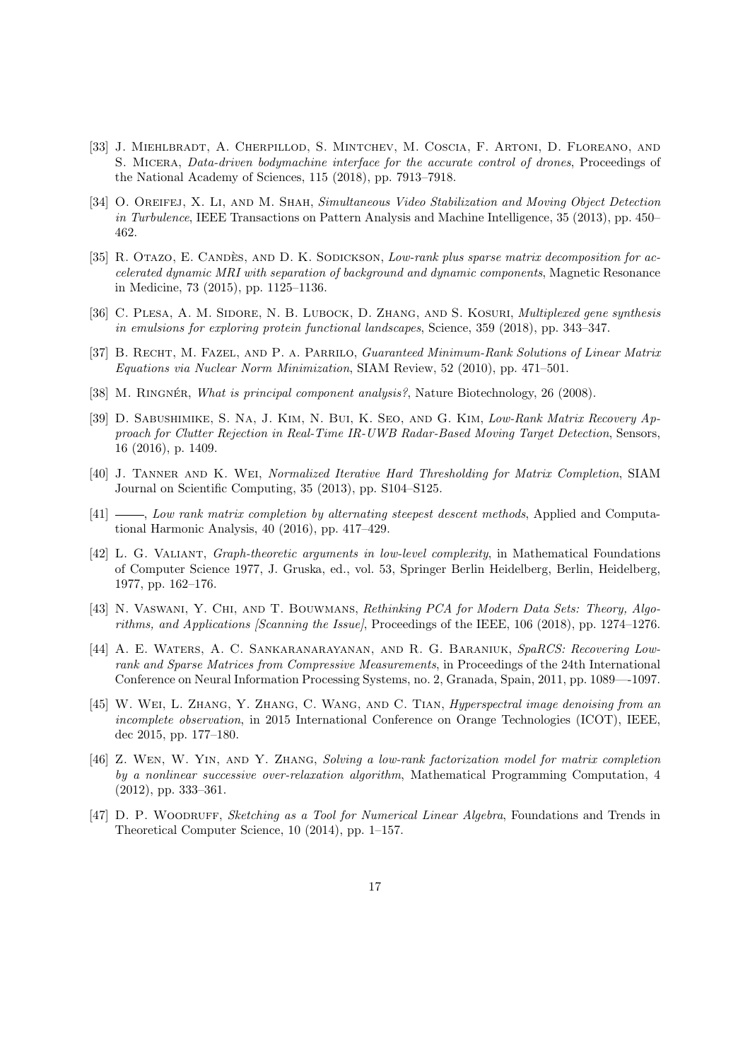- <span id="page-16-3"></span>[33] J. Miehlbradt, A. Cherpillod, S. Mintchev, M. Coscia, F. Artoni, D. Floreano, and S. MICERA, *Data-driven bodymachine interface for the accurate control of drones*, Proceedings of the National Academy of Sciences, 115 (2018), pp. 7913–7918.
- <span id="page-16-7"></span>[34] O. OREIFEJ, X. LI, AND M. SHAH, Simultaneous Video Stabilization and Moving Object Detection in Turbulence, IEEE Transactions on Pattern Analysis and Machine Intelligence, 35 (2013), pp. 450– 462.
- <span id="page-16-6"></span>[35] R. OTAZO, E. CANDÈS, AND D. K. SODICKSON, Low-rank plus sparse matrix decomposition for accelerated dynamic MRI with separation of background and dynamic components, Magnetic Resonance in Medicine, 73 (2015), pp. 1125–1136.
- <span id="page-16-2"></span>[36] C. PLESA, A. M. SIDORE, N. B. LUBOCK, D. ZHANG, AND S. KOSURI, *Multiplexed gene synthesis* in emulsions for exploring protein functional landscapes, Science, 359 (2018), pp. 343–347.
- <span id="page-16-9"></span>[37] B. RECHT, M. FAZEL, AND P. A. PARRILO, *Guaranteed Minimum-Rank Solutions of Linear Matrix* Equations via Nuclear Norm Minimization, SIAM Review, 52 (2010), pp. 471–501.
- <span id="page-16-1"></span>[38] M. RINGNÉR, What is principal component analysis?, Nature Biotechnology, 26 (2008).
- <span id="page-16-8"></span>[39] D. Sabushimike, S. Na, J. Kim, N. Bui, K. Seo, and G. Kim, Low-Rank Matrix Recovery Approach for Clutter Rejection in Real-Time IR-UWB Radar-Based Moving Target Detection, Sensors, 16 (2016), p. 1409.
- <span id="page-16-10"></span>[40] J. Tanner and K. Wei, Normalized Iterative Hard Thresholding for Matrix Completion, SIAM Journal on Scientific Computing, 35 (2013), pp. S104–S125.
- <span id="page-16-11"></span>[41]  $\_\_\_\_\_\_\_\_\_\_\_\_\_\_\_\_\_\_\_\_\_\.\_$  Low rank matrix completion by alternating steepest descent methods, Applied and Computational Harmonic Analysis, 40 (2016), pp. 417–429.
- <span id="page-16-13"></span>[42] L. G. Valiant, Graph-theoretic arguments in low-level complexity, in Mathematical Foundations of Computer Science 1977, J. Gruska, ed., vol. 53, Springer Berlin Heidelberg, Berlin, Heidelberg, 1977, pp. 162–176.
- <span id="page-16-0"></span>[43] N. Vaswani, Y. Chi, and T. Bouwmans, Rethinking PCA for Modern Data Sets: Theory, Algorithms, and Applications [Scanning the Issue], Proceedings of the IEEE, 106 (2018), pp. 1274–1276.
- <span id="page-16-14"></span>[44] A. E. Waters, A. C. Sankaranarayanan, and R. G. Baraniuk, SpaRCS: Recovering Lowrank and Sparse Matrices from Compressive Measurements, in Proceedings of the 24th International Conference on Neural Information Processing Systems, no. 2, Granada, Spain, 2011, pp. 1089—-1097.
- <span id="page-16-5"></span>[45] W. Wei, L. Zhang, Y. Zhang, C. Wang, and C. Tian, Hyperspectral image denoising from an incomplete observation, in 2015 International Conference on Orange Technologies (ICOT), IEEE, dec 2015, pp. 177–180.
- <span id="page-16-12"></span>[46] Z. Wen, W. Yin, and Y. Zhang, Solving a low-rank factorization model for matrix completion by a nonlinear successive over-relaxation algorithm, Mathematical Programming Computation, 4 (2012), pp. 333–361.
- <span id="page-16-4"></span>[47] D. P. WOODRUFF, Sketching as a Tool for Numerical Linear Algebra, Foundations and Trends in Theoretical Computer Science, 10 (2014), pp. 1–157.